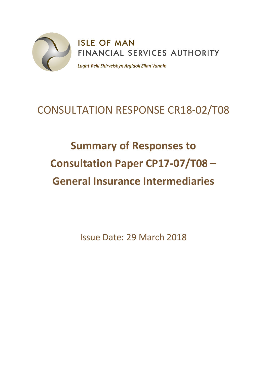

# CONSULTATION RESPONSE CR18-02/T08

# **Summary of Responses to Consultation Paper CP17-07/T08 – General Insurance Intermediaries**

Issue Date: 29 March 2018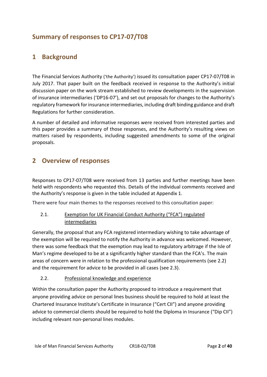# **Summary of responses to CP17-07/T08**

### **1 Background**

The Financial Services Authority ('the Authority') issued its consultation paper CP17-07/T08 in July 2017. That paper built on the feedback received in response to the Authority's initial discussion paper on the work stream established to review developments in the supervision of insurance intermediaries ('DP16-07'), and set out proposals for changes to the Authority's regulatory framework for insurance intermediaries, including draft binding guidance and draft Regulations for further consideration.

A number of detailed and informative responses were received from interested parties and this paper provides a summary of those responses, and the Authority's resulting views on matters raised by respondents, including suggested amendments to some of the original proposals.

# **2 Overview of responses**

Responses to CP17-07/T08 were received from 13 parties and further meetings have been held with respondents who requested this. Details of the individual comments received and the Authority's response is given in the table included at Appendix 1.

There were four main themes to the responses received to this consultation paper:

#### 2.1. Exemption for UK Financial Conduct Authority ("FCA") regulated intermediaries

Generally, the proposal that any FCA registered intermediary wishing to take advantage of the exemption will be required to notify the Authority in advance was welcomed. However, there was some feedback that the exemption may lead to regulatory arbitrage if the Isle of Man's regime developed to be at a significantly higher standard than the FCA's. The main areas of concern were in relation to the professional qualification requirements (see 2.2) and the requirement for advice to be provided in all cases (see 2.3).

#### 2.2. Professional knowledge and experience

Within the consultation paper the Authority proposed to introduce a requirement that anyone providing advice on personal lines business should be required to hold at least the Chartered Insurance Institute's Certificate in Insurance ("Cert CII") and anyone providing advice to commercial clients should be required to hold the Diploma in Insurance ("Dip CII") including relevant non-personal lines modules.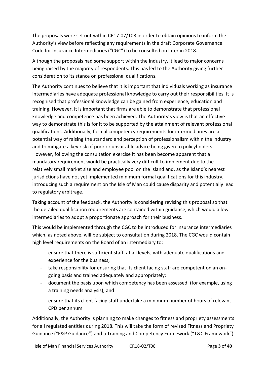The proposals were set out within CP17-07/T08 in order to obtain opinions to inform the Authority's view before reflecting any requirements in the draft Corporate Governance Code for Insurance Intermediaries ("CGC") to be consulted on later in 2018.

Although the proposals had some support within the industry, it lead to major concerns being raised by the majority of respondents. This has led to the Authority giving further consideration to its stance on professional qualifications.

The Authority continues to believe that it is important that individuals working as insurance intermediaries have adequate professional knowledge to carry out their responsibilities. It is recognised that professional knowledge can be gained from experience, education and training. However, it is important that firms are able to demonstrate that professional knowledge and competence has been achieved. The Authority's view is that an effective way to demonstrate this is for it to be supported by the attainment of relevant professional qualifications. Additionally, formal competency requirements for intermediaries are a potential way of raising the standard and perception of professionalism within the industry and to mitigate a key risk of poor or unsuitable advice being given to policyholders. However, following the consultation exercise it has been become apparent that a mandatory requirement would be practically very difficult to implement due to the relatively small market size and employee pool on the Island and, as the Island's nearest jurisdictions have not yet implemented minimum formal qualifications for this industry, introducing such a requirement on the Isle of Man could cause disparity and potentially lead to regulatory arbitrage.

Taking account of the feedback, the Authority is considering revising this proposal so that the detailed qualification requirements are contained within guidance, which would allow intermediaries to adopt a proportionate approach for their business.

This would be implemented through the CGC to be introduced for insurance intermediaries which, as noted above, will be subject to consultation during 2018. The CGC would contain high level requirements on the Board of an intermediary to:

- ensure that there is sufficient staff, at all levels, with adequate qualifications and experience for the business;
- take responsibility for ensuring that its client facing staff are competent on an ongoing basis and trained adequately and appropriately;
- document the basis upon which competency has been assessed (for example, using a training needs analysis); and
- ensure that its client facing staff undertake a minimum number of hours of relevant CPD per annum.

Additionally, the Authority is planning to make changes to fitness and propriety assessments for all regulated entities during 2018. This will take the form of revised Fitness and Propriety Guidance ("F&P Guidance") and a Training and Competency Framework ("T&C Framework")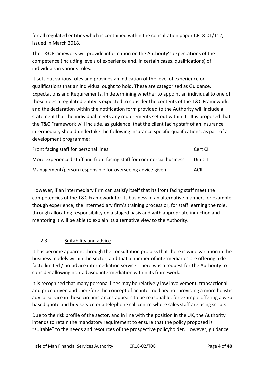for all regulated entities which is contained within the consultation paper CP18-01/T12, issued in March 2018.

The T&C Framework will provide information on the Authority's expectations of the competence (including levels of experience and, in certain cases, qualifications) of individuals in various roles.

It sets out various roles and provides an indication of the level of experience or qualifications that an individual ought to hold. These are categorised as Guidance, Expectations and Requirements. In determining whether to appoint an individual to one of these roles a regulated entity is expected to consider the contents of the T&C Framework, and the declaration within the notification form provided to the Authority will include a statement that the individual meets any requirements set out within it. It is proposed that the T&C Framework will include, as guidance, that the client facing staff of an insurance intermediary should undertake the following insurance specific qualifications, as part of a development programme:

| Front facing staff for personal lines                                 | Cert CII |
|-----------------------------------------------------------------------|----------|
| More experienced staff and front facing staff for commercial business | Dip CII  |
| Management/person responsible for overseeing advice given             | ACII     |

However, if an intermediary firm can satisfy itself that its front facing staff meet the competencies of the T&C Framework for its business in an alternative manner, for example though experience, the intermediary firm's training process or, for staff learning the role, through allocating responsibility on a staged basis and with appropriate induction and mentoring it will be able to explain its alternative view to the Authority.

#### 2.3. Suitability and advice

It has become apparent through the consultation process that there is wide variation in the business models within the sector, and that a number of intermediaries are offering a de facto limited / no-advice intermediation service. There was a request for the Authority to consider allowing non-advised intermediation within its framework.

It is recognised that many personal lines may be relatively low involvement, transactional and price driven and therefore the concept of an intermediary not providing a more holistic advice service in these circumstances appears to be reasonable; for example offering a web based quote and buy service or a telephone call centre where sales staff are using scripts.

Due to the risk profile of the sector, and in line with the position in the UK, the Authority intends to retain the mandatory requirement to ensure that the policy proposed is "suitable" to the needs and resources of the prospective policyholder. However, guidance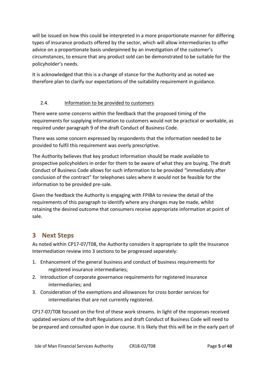will be issued on how this could be interpreted in a more proportionate manner for differing types of insurance products offered by the sector, which will allow intermediaries to offer advice on a proportionate basis underpinned by an investigation of the customer's circumstances, to ensure that any product sold can be demonstrated to be suitable for the policyholder's needs.

It is acknowledged that this is a change of stance for the Authority and as noted we therefore plan to clarify our expectations of the suitability requirement in guidance.

#### 2.4. Information to be provided to customers

There were some concerns within the feedback that the proposed timing of the requirements for supplying information to customers would not be practical or workable, as required under paragraph 9 of the draft Conduct of Business Code.

There was some concern expressed by respondents that the information needed to be provided to fulfil this requirement was overly prescriptive.

The Authority believes that key product information should be made available to prospective policyholders in order for them to be aware of what they are buying. The draft Conduct of Business Code allows for such information to be provided "immediately after conclusion of the contract" for telephones sales where it would not be feasible for the information to be provided pre-sale.

Given the feedback the Authority is engaging with FPIBA to review the detail of the requirements of this paragraph to identify where any changes may be made, whilst retaining the desired outcome that consumers receive appropriate information at point of sale.

# **3 Next Steps**

As noted within CP17-07/T08, the Authority considers it appropriate to split the Insurance Intermediation review into 3 sections to be progressed separately:

- 1. Enhancement of the general business and conduct of business requirements for registered insurance intermediaries;
- 2. Introduction of corporate governance requirements for registered insurance intermediaries; and
- 3. Consideration of the exemptions and allowances for cross border services for intermediaries that are not currently registered.

CP17-07/T08 focused on the first of these work streams. In light of the responses received updated versions of the draft Regulations and draft Conduct of Business Code will need to be prepared and consulted upon in due course. It is likely that this will be in the early part of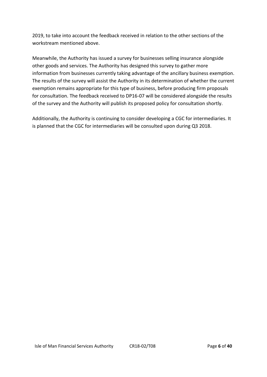2019, to take into account the feedback received in relation to the other sections of the workstream mentioned above.

Meanwhile, the Authority has issued a survey for businesses selling insurance alongside other goods and services. The Authority has designed this survey to gather more information from businesses currently taking advantage of the ancillary business exemption. The results of the survey will assist the Authority in its determination of whether the current exemption remains appropriate for this type of business, before producing firm proposals for consultation. The feedback received to DP16-07 will be considered alongside the results of the survey and the Authority will publish its proposed policy for consultation shortly.

Additionally, the Authority is continuing to consider developing a CGC for intermediaries. It is planned that the CGC for intermediaries will be consulted upon during Q3 2018.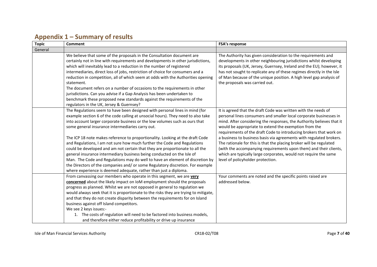| <b>Topic</b> | Comment                                                                                                                                                                                                                                                                                                                                                                                                                                                                                                                                                                                                                                                                                                                                                                                                                                                          | <b>FSA's response</b>                                                                                                                                                                                                                                                                                                                                                                                                                                                                                                                                                                                                                                                    |
|--------------|------------------------------------------------------------------------------------------------------------------------------------------------------------------------------------------------------------------------------------------------------------------------------------------------------------------------------------------------------------------------------------------------------------------------------------------------------------------------------------------------------------------------------------------------------------------------------------------------------------------------------------------------------------------------------------------------------------------------------------------------------------------------------------------------------------------------------------------------------------------|--------------------------------------------------------------------------------------------------------------------------------------------------------------------------------------------------------------------------------------------------------------------------------------------------------------------------------------------------------------------------------------------------------------------------------------------------------------------------------------------------------------------------------------------------------------------------------------------------------------------------------------------------------------------------|
| General      |                                                                                                                                                                                                                                                                                                                                                                                                                                                                                                                                                                                                                                                                                                                                                                                                                                                                  |                                                                                                                                                                                                                                                                                                                                                                                                                                                                                                                                                                                                                                                                          |
|              | We believe that some of the proposals in the Consultation document are<br>certainly not in line with requirements and developments in other jurisdictions,<br>which will inevitably lead to a reduction in the number of registered<br>intermediaries, direct loss of jobs, restriction of choice for consumers and a<br>reduction in competition, all of which seem at odds with the Authorities opening<br>statement.<br>The document refers on a number of occasions to the requirements in other<br>jurisdictions. Can you advise if a Gap Analysis has been undertaken to<br>benchmark these proposed new standards against the requirements of the<br>regulators in the UK, Jersey & Guernsey?                                                                                                                                                             | The Authority has given consideration to the requirements and<br>developments in other neighbouring jurisdictions whilst developing<br>its proposals (UK, Jersey, Guernsey, Ireland and the EU); however, it<br>has not sought to replicate any of these regimes directly in the Isle<br>of Man because of the unique position. A high level gap analysis of<br>the proposals was carried out.                                                                                                                                                                                                                                                                           |
|              | The Regulations seem to have been designed with personal lines in mind (for<br>example section 6 of the code calling at unsocial hours). They need to also take<br>into account larger corporate business or the low volumes such as ours that<br>some general insurance intermediaries carry out.<br>The ICP 18 note makes reference to proportionality. Looking at the draft Code<br>and Regulations, I am not sure how much further the Code and Regulations<br>could be developed and am not certain that they are proportionate to all the<br>general insurance intermediary business being conducted on the Isle of<br>Man. The Code and Regulations may do well to have an element of discretion by<br>the Directors of the companies and/ or some Regulatory discretion. For example<br>where experience is deemed adequate, rather than just a diploma. | It is agreed that the draft Code was written with the needs of<br>personal lines consumers and smaller local corporate businesses in<br>mind. After considering the responses, the Authority believes that it<br>would be appropriate to extend the exemption from the<br>requirements of the draft Code to introducing brokers that work on<br>a business to business basis via agreements with regulated brokers.<br>The rationale for this is that the placing broker will be regulated<br>(with the accompanying requirements upon them) and their clients,<br>which are typically large corporates, would not require the same<br>level of policyholder protection. |
|              | From canvassing our members who operate in this segment, we are very<br>concerned about the likely impact on IoM employment should the proposals<br>progress as planned. Whilst we are not opposed in general to regulation we<br>would always seek that it is proportionate to the risks they are trying to mitigate,<br>and that they do not create disparity between the requirements for on Island<br>business against off Island competitors.<br>We see 2 keys issues:-<br>1. The costs of regulation will need to be factored into business models,<br>and therefore either reduce profitability or drive up insurance                                                                                                                                                                                                                                     | Your comments are noted and the specific points raised are<br>addressed below.                                                                                                                                                                                                                                                                                                                                                                                                                                                                                                                                                                                           |

# **Appendix 1 – Summary of results**

Isle of Man Financial Services Authority CR18-02/T08 Page **7** of **40**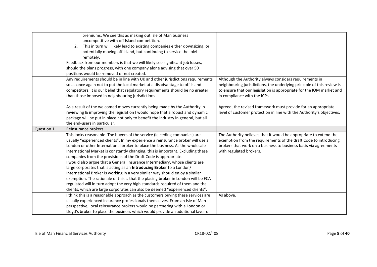|            | premiums. We see this as making out Isle of Man business<br>uncompetitive with off Island competition.<br>This in turn will likely lead to existing companies either downsizing, or<br>2.<br>potentially moving off Island, but continuing to service the IoM<br>remotely.<br>Feedback from our members is that we will likely see significant job losses,<br>should the plans progress, with one company alone advising that over 50                                                                                                                                                                                                                                                                                                                                                                                                                                                              |                                                                                                                                                                                                                                           |
|------------|----------------------------------------------------------------------------------------------------------------------------------------------------------------------------------------------------------------------------------------------------------------------------------------------------------------------------------------------------------------------------------------------------------------------------------------------------------------------------------------------------------------------------------------------------------------------------------------------------------------------------------------------------------------------------------------------------------------------------------------------------------------------------------------------------------------------------------------------------------------------------------------------------|-------------------------------------------------------------------------------------------------------------------------------------------------------------------------------------------------------------------------------------------|
|            | positions would be removed or not created.                                                                                                                                                                                                                                                                                                                                                                                                                                                                                                                                                                                                                                                                                                                                                                                                                                                         |                                                                                                                                                                                                                                           |
|            | Any requirements should be in line with UK and other jurisdictions requirements<br>so as once again not to put the local market at a disadvantage to off island<br>competitors. It is our belief that regulatory requirements should be no greater<br>than those imposed in neighbouring jurisdictions.                                                                                                                                                                                                                                                                                                                                                                                                                                                                                                                                                                                            | Although the Authority always considers requirements in<br>neighbouring jurisdictions, the underlying principle of this review is<br>to ensure that our legislation is appropriate for the IOM market and<br>in compliance with the ICPs. |
|            | As a result of the welcomed moves currently being made by the Authority in<br>reviewing & improving the legislation I would hope that a robust and dynamic<br>package will be put in place not only to benefit the industry in general, but all<br>the end-users in particular.                                                                                                                                                                                                                                                                                                                                                                                                                                                                                                                                                                                                                    | Agreed, the revised framework must provide for an appropriate<br>level of customer protection in line with the Authority's objectives.                                                                                                    |
| Question 1 | Reinsurance brokers                                                                                                                                                                                                                                                                                                                                                                                                                                                                                                                                                                                                                                                                                                                                                                                                                                                                                |                                                                                                                                                                                                                                           |
|            | This looks reasonable. The buyers of the service (ie ceding companies) are<br>usually "experienced clients". In my experience a reinsurance broker will use a<br>London or other International broker to place the business. As the wholesale<br>International Market is constantly changing, this is important. Excluding these<br>companies from the provisions of the Draft Code is appropriate.<br>I would also argue that a General Insurance Intermediary, whose clients are<br>large corporates that is acting as an Introducing Broker to a London/<br>International Broker is working in a very similar way should enjoy a similar<br>exemption. The rationale of this is that the placing broker in London will be FCA<br>regulated will in turn adopt the very high standards required of them and the<br>clients, which are large corporates can also be deemed "experienced clients". | The Authority believes that it would be appropriate to extend the<br>exemption from the requirements of the draft Code to introducing<br>brokers that work on a business to business basis via agreements<br>with regulated brokers.      |
|            | I think this is a reasonable approach as the customers buying these services are<br>usually experienced insurance professionals themselves. From an Isle of Man<br>perspective, local reinsurance brokers would be partnering with a London or<br>Lloyd's broker to place the business which would provide an additional layer of                                                                                                                                                                                                                                                                                                                                                                                                                                                                                                                                                                  | As above.                                                                                                                                                                                                                                 |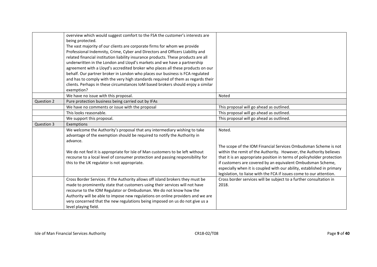|            | overview which would suggest comfort to the FSA the customer's interests are<br>being protected.<br>The vast majority of our clients are corporate firms for whom we provide<br>Professional Indemnity, Crime, Cyber and Directors and Officers Liability and<br>related financial institution liability insurance products. These products are all<br>underwritten in the London and Lloyd's markets and we have a partnership<br>agreement with a Lloyd's accredited broker who places all these products on our<br>behalf. Our partner broker in London who places our business is FCA regulated<br>and has to comply with the very high standards required of them as regards their<br>clients. Perhaps in these circumstances IoM based brokers should enjoy a similar<br>exemption? |                                                                                                                                                                                                                                                                                                                                                                                                                                            |
|------------|-------------------------------------------------------------------------------------------------------------------------------------------------------------------------------------------------------------------------------------------------------------------------------------------------------------------------------------------------------------------------------------------------------------------------------------------------------------------------------------------------------------------------------------------------------------------------------------------------------------------------------------------------------------------------------------------------------------------------------------------------------------------------------------------|--------------------------------------------------------------------------------------------------------------------------------------------------------------------------------------------------------------------------------------------------------------------------------------------------------------------------------------------------------------------------------------------------------------------------------------------|
|            | We have no issue with this proposal.                                                                                                                                                                                                                                                                                                                                                                                                                                                                                                                                                                                                                                                                                                                                                      | Noted                                                                                                                                                                                                                                                                                                                                                                                                                                      |
| Question 2 | Pure protection business being carried out by IFAs                                                                                                                                                                                                                                                                                                                                                                                                                                                                                                                                                                                                                                                                                                                                        |                                                                                                                                                                                                                                                                                                                                                                                                                                            |
|            | We have no comments or issue with the proposal                                                                                                                                                                                                                                                                                                                                                                                                                                                                                                                                                                                                                                                                                                                                            | This proposal will go ahead as outlined.                                                                                                                                                                                                                                                                                                                                                                                                   |
|            | This looks reasonable.                                                                                                                                                                                                                                                                                                                                                                                                                                                                                                                                                                                                                                                                                                                                                                    | This proposal will go ahead as outlined.                                                                                                                                                                                                                                                                                                                                                                                                   |
|            | We support this proposal.                                                                                                                                                                                                                                                                                                                                                                                                                                                                                                                                                                                                                                                                                                                                                                 | This proposal will go ahead as outlined.                                                                                                                                                                                                                                                                                                                                                                                                   |
| Question 3 | Exemptions                                                                                                                                                                                                                                                                                                                                                                                                                                                                                                                                                                                                                                                                                                                                                                                |                                                                                                                                                                                                                                                                                                                                                                                                                                            |
|            | We welcome the Authority's proposal that any intermediary wishing to take<br>advantage of the exemption should be required to notify the Authority in<br>advance.<br>We do not feel it is appropriate for Isle of Man customers to be left without<br>recourse to a local level of consumer protection and passing responsibility for<br>this to the UK regulator is not appropriate.                                                                                                                                                                                                                                                                                                                                                                                                     | Noted.<br>The scope of the IOM Financial Services Ombudsman Scheme is not<br>within the remit of the Authority. However, the Authority believes<br>that it is an appropriate position in terms of policyholder protection<br>if customers are covered by an equivalent Ombudsman Scheme,<br>especially when it is coupled with our ability, established in primary<br>legislation, to liaise with the FCA if issues come to our attention. |
|            | Cross Border Services. If the Authority allows off island brokers they must be<br>made to prominently state that customers using their services will not have<br>recourse to the IOM Regulator or Ombudsman. We do not know how the<br>Authority will be able to impose new regulations on online providers and we are<br>very concerned that the new regulations being imposed on us do not give us a<br>level playing field.                                                                                                                                                                                                                                                                                                                                                            | Cross border services will be subject to a further consultation in<br>2018.                                                                                                                                                                                                                                                                                                                                                                |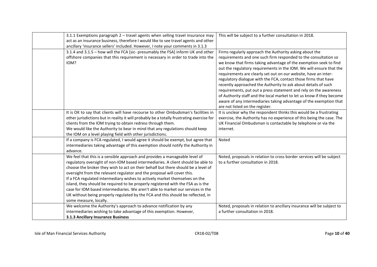| 3.1.1 Exemptions paragraph $2$ – travel agents when selling travel insurance may<br>act as an insurance business, therefore I would like to see travel agents and other<br>ancillary 'insurance sellers' included. However, I note your comments in 3.1.3                                                                                                                                                                                                                                                                                                                                                                                                                                          | This will be subject to a further consultation in 2018.                                                                                                                                                                                                                                                                                                                                                                                                                                                                                                                                                                                                                                                                               |
|----------------------------------------------------------------------------------------------------------------------------------------------------------------------------------------------------------------------------------------------------------------------------------------------------------------------------------------------------------------------------------------------------------------------------------------------------------------------------------------------------------------------------------------------------------------------------------------------------------------------------------------------------------------------------------------------------|---------------------------------------------------------------------------------------------------------------------------------------------------------------------------------------------------------------------------------------------------------------------------------------------------------------------------------------------------------------------------------------------------------------------------------------------------------------------------------------------------------------------------------------------------------------------------------------------------------------------------------------------------------------------------------------------------------------------------------------|
| 3.1.4 and 3.1.5 - how will the FCA [sic- presumably the FSA] inform UK and other<br>offshore companies that this requirement is necessary in order to trade into the<br>IOM?                                                                                                                                                                                                                                                                                                                                                                                                                                                                                                                       | Firms regularly approach the Authority asking about the<br>requirements and one such firm responded to the consultation so<br>we know that firms taking advantage of the exemption seek to find<br>out the regulatory requirements in the IOM. We will ensure that the<br>requirements are clearly set out on our website, have an inter-<br>regulatory dialogue with the FCA, contact those firms that have<br>recently approached the Authority to ask about details of such<br>requirements, put out a press statement and rely on the awareness<br>of Authority staff and the local market to let us know if they become<br>aware of any intermediaries taking advantage of the exemption that<br>are not listed on the register. |
| It is OK to say that clients will have recourse to other Ombudsman's facilities in<br>other jurisdictions but in reality it will probably be a totally frustrating exercise for<br>clients from the IOM trying to obtain redress through them.<br>We would like the Authority to bear in mind that any regulations should keep<br>the IOM on a level playing field with other jurisdictions.                                                                                                                                                                                                                                                                                                       | It is unclear why the respondent thinks this would be a frustrating<br>exercise, the Authority has no experience of this being the case. The<br>UK Financial Ombudsman is contactable by telephone or via the<br>internet.                                                                                                                                                                                                                                                                                                                                                                                                                                                                                                            |
| If a company is FCA regulated, I would agree it should be exempt, but agree that<br>intermediaries taking advantage of this exemption should notify the Authority in<br>advance.                                                                                                                                                                                                                                                                                                                                                                                                                                                                                                                   | Noted                                                                                                                                                                                                                                                                                                                                                                                                                                                                                                                                                                                                                                                                                                                                 |
| We feel that this is a sensible approach and provides a manageable level of<br>regulatory oversight of non-IOM based intermediaries. A client should be able to<br>choose the broker they wish to act on their behalf but there should be a level of<br>oversight from the relevant regulator and the proposal will cover this.<br>If a FCA regulated intermediary wishes to actively market themselves on the<br>island, they should be required to be properly registered with the FSA as is the<br>case for IOM based intermediaries. We aren't able to market our services in the<br>UK without being properly regulated by the FCA and this should be reflected, in<br>some measure, locally. | Noted, proposals in relation to cross border services will be subject<br>to a further consultation in 2018.                                                                                                                                                                                                                                                                                                                                                                                                                                                                                                                                                                                                                           |
| We welcome the Authority's approach to advance notification by any<br>intermediaries wishing to take advantage of this exemption. However,<br>3.1.3 Ancillary Insurance Business                                                                                                                                                                                                                                                                                                                                                                                                                                                                                                                   | Noted, proposals in relation to ancillary insurance will be subject to<br>a further consultation in 2018.                                                                                                                                                                                                                                                                                                                                                                                                                                                                                                                                                                                                                             |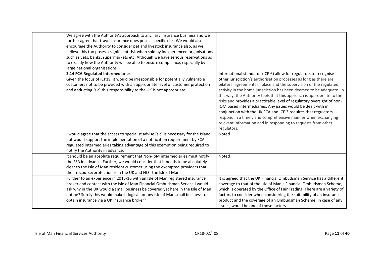| We agree with the Authority's approach to ancillary insurance business and we<br>further agree that travel insurance does pose a specific risk. We would also<br>encourage the Authority to consider pet and livestock insurance also, as we<br>believe this too poses a significant risk when sold by inexperienced organisations<br>such as vets, banks, supermarkets etc. Although we have serious reservations as<br>to exactly how the Authority will be able to ensure compliance, especially by<br>large national organisations.<br>3.14 FCA Regulated Intermediaries<br>Given the focus of ICP19, it would be irresponsible for potentially vulnerable<br>customers not to be provided with an appropriate level of customer protection<br>and abducting [sic] this responsibility to the UK is not appropriate. | International standards (ICP 6) allow for regulators to recognise<br>other jurisdiction's authorisation processes as long as there are<br>bilateral agreements in place and the supervision of the regulated<br>activity in the home jurisdiction has been deemed to be adequate. In<br>this way, the Authority feels that this approach is appropriate to the<br>risks and provides a practicable level of regulatory oversight of non-<br>IOM based intermediaries. Any issues would be dealt with in<br>conjunction with the UK FCA and ICP 3 requires that regulators<br>respond in a timely and comprehensive manner when exchanging<br>relevant information and in responding to requests from other<br>regulators. |
|--------------------------------------------------------------------------------------------------------------------------------------------------------------------------------------------------------------------------------------------------------------------------------------------------------------------------------------------------------------------------------------------------------------------------------------------------------------------------------------------------------------------------------------------------------------------------------------------------------------------------------------------------------------------------------------------------------------------------------------------------------------------------------------------------------------------------|---------------------------------------------------------------------------------------------------------------------------------------------------------------------------------------------------------------------------------------------------------------------------------------------------------------------------------------------------------------------------------------------------------------------------------------------------------------------------------------------------------------------------------------------------------------------------------------------------------------------------------------------------------------------------------------------------------------------------|
| I would agree that the access to specialist advise [sic] is necessary for the Island,<br>but would support the implementation of a notification requirement by FCA<br>regulated intermediaries taking advantage of this exemption being required to<br>notify the Authority in advance.                                                                                                                                                                                                                                                                                                                                                                                                                                                                                                                                  | Noted                                                                                                                                                                                                                                                                                                                                                                                                                                                                                                                                                                                                                                                                                                                     |
| It should be an absolute requirement that Non-IoM intermediaries must notify<br>the FSA in advance. Further, we would consider that it needs to be absolutely<br>clear to the Isle of Man resident customer using the exempted providers that<br>their recourse/protection is in the UK and NOT the Isle of Man.                                                                                                                                                                                                                                                                                                                                                                                                                                                                                                         | Noted                                                                                                                                                                                                                                                                                                                                                                                                                                                                                                                                                                                                                                                                                                                     |
| Further to an experience in 2015-16 with an Isle of Man registered insurance<br>broker and contact with the Isle of Man Financial Ombudsman Service I would<br>ask why in the UK would a small business be covered yet here in the Isle of Man<br>not be? Surely this would make it logical for any Isle of Man small business to<br>obtain insurance via a UK Insurance broker?                                                                                                                                                                                                                                                                                                                                                                                                                                         | It is agreed that the UK Financial Ombudsman Service has a different<br>coverage to that of the Isle of Man's Financial Ombudsman Scheme,<br>which is operated by the Office of Fair Trading. There are a variety of<br>factors to consider when considering the suitability of an insurance<br>product and the coverage of an Ombudsman Scheme, in case of any<br>issues, would be one of those factors.                                                                                                                                                                                                                                                                                                                 |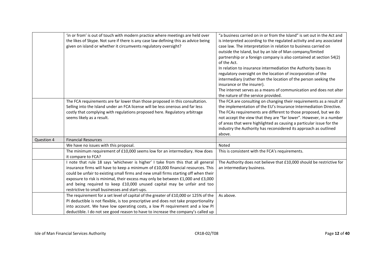|            | 'in or from' is out of touch with modern practice where meetings are held over<br>the likes of Skype. Not sure if there is any case law defining this as advice being<br>given on island or whether it circumvents regulatory oversight?                                                                                                                                                                                                                                    | "a business carried on in or from the Island" is set out in the Act and<br>is interpreted according to the regulated activity and any associated<br>case law. The interpretation in relation to business carried on<br>outside the Island, but by an Isle of Man company/limited<br>partnership or a foreign company is also contained at section 54(2)<br>of the Act.<br>In relation to insurance intermediation the Authority bases its<br>regulatory oversight on the location of incorporation of the<br>intermediary (rather than the location of the person seeking the<br>insurance or the insurer).<br>The internet serves as a means of communication and does not alter<br>the nature of the service provided. |
|------------|-----------------------------------------------------------------------------------------------------------------------------------------------------------------------------------------------------------------------------------------------------------------------------------------------------------------------------------------------------------------------------------------------------------------------------------------------------------------------------|--------------------------------------------------------------------------------------------------------------------------------------------------------------------------------------------------------------------------------------------------------------------------------------------------------------------------------------------------------------------------------------------------------------------------------------------------------------------------------------------------------------------------------------------------------------------------------------------------------------------------------------------------------------------------------------------------------------------------|
|            | The FCA requirements are far lower than those proposed in this consultation.<br>Selling into the Island under an FCA license will be less onerous and far less<br>costly that complying with regulations proposed here. Regulatory arbitrage<br>seems likely as a result.                                                                                                                                                                                                   | The FCA are consulting on changing their requirements as a result of<br>the implementation of the EU's Insurance Intermediation Directive.<br>The FCAs requirements are different to those proposed, but we do<br>not accept the view that they are "far lower". However, in a number<br>of areas that were highlighted as causing a particular issue for the<br>industry the Authority has reconsidered its approach as outlined<br>above.                                                                                                                                                                                                                                                                              |
| Question 4 | <b>Financial Resources</b>                                                                                                                                                                                                                                                                                                                                                                                                                                                  |                                                                                                                                                                                                                                                                                                                                                                                                                                                                                                                                                                                                                                                                                                                          |
|            | We have no issues with this proposal.                                                                                                                                                                                                                                                                                                                                                                                                                                       | Noted                                                                                                                                                                                                                                                                                                                                                                                                                                                                                                                                                                                                                                                                                                                    |
|            | The minimum requirement of £10,000 seems low for an intermediary. How does<br>it compare to FCA?                                                                                                                                                                                                                                                                                                                                                                            | This is consistent with the FCA's requirements.                                                                                                                                                                                                                                                                                                                                                                                                                                                                                                                                                                                                                                                                          |
|            | I note that rule 18 says 'whichever is higher' I take from this that all general<br>insurance firms will have to keep a minimum of £10,000 financial resources. This<br>could be unfair to existing small firms and new small firms starting off when their<br>exposure to risk is minimal, their excess may only be between £1,000 and £3,000<br>and being required to keep £10,000 unused capital may be unfair and too<br>restrictive to small businesses and start-ups. | The Authority does not believe that £10,000 should be restrictive for<br>an intermediary business.                                                                                                                                                                                                                                                                                                                                                                                                                                                                                                                                                                                                                       |
|            | The requirement for a set level of capital of the greater of £10,000 or 125% of the<br>PI deductible is not flexible, is too prescriptive and does not take proportionality<br>into account. We have low operating costs, a low PI requirement and a low PI<br>deductible. I do not see good reason to have to increase the company's called up                                                                                                                             | As above.                                                                                                                                                                                                                                                                                                                                                                                                                                                                                                                                                                                                                                                                                                                |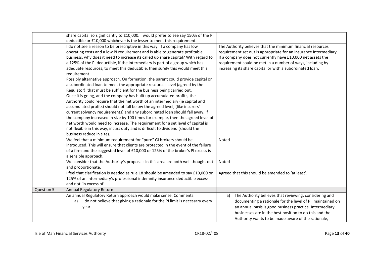|            | share capital so significantly to £10,000. I would prefer to see say 150% of the PI |                                                                   |
|------------|-------------------------------------------------------------------------------------|-------------------------------------------------------------------|
|            | deductible or £10,000 whichever is the lesser to meet this requirement.             |                                                                   |
|            | I do not see a reason to be prescriptive in this way. If a company has low          | The Authority believes that the minimum financial resources       |
|            | operating costs and a low PI requirement and is able to generate profitable         | requirement set out is appropriate for an insurance intermediary. |
|            | business, why does it need to increase its called up share capital? With regard to  | If a company does not currently have £10,000 net assets the       |
|            | a 125% of the PI deductible, if the intermediary is part of a group which has       | requirement could be met in a number of ways, including by        |
|            | adequate resources, to meet this deductible, then surely this would meet this       | increasing its share capital or with a subordinated loan.         |
|            | requirement.                                                                        |                                                                   |
|            | Possibly alternative approach. On formation, the parent could provide capital or    |                                                                   |
|            | a subordinated loan to meet the appropriate resources level (agreed by the          |                                                                   |
|            | Regulator), that must be sufficient for the business being carried out.             |                                                                   |
|            | Once it is going, and the company has built up accumulated profits, the             |                                                                   |
|            | Authority could require that the net worth of an intermediary (ie capital and       |                                                                   |
|            | accumulated profits) should not fall below the agreed level, (like insurers'        |                                                                   |
|            | current solvency requirements) and any subordinated loan should fall away. If       |                                                                   |
|            | the company increased in size by 100 times for example, then the agreed level of    |                                                                   |
|            | net worth would need to increase. The requirement for a set level of capital is     |                                                                   |
|            | not flexible in this way, incurs duty and is difficult to dividend (should the      |                                                                   |
|            | business reduce in size).                                                           |                                                                   |
|            | We feel that a minimum requirement for "pure" GI brokers should be                  | Noted                                                             |
|            | introduced. This will ensure that clients are protected in the event of the failure |                                                                   |
|            | of a firm and the suggested level of £10,000 or 125% of the broker's PI excess is   |                                                                   |
|            | a sensible approach.                                                                |                                                                   |
|            | We consider that the Authority's proposals in this area are both well thought out   | Noted                                                             |
|            | and proportionate.                                                                  |                                                                   |
|            | I feel that clarification is needed as rule 18 should be amended to say £10,000 or  | Agreed that this should be amended to 'at least'.                 |
|            | 125% of an intermediary's professional indemnity insurance deductible excess        |                                                                   |
|            | and not 'in excess of'.                                                             |                                                                   |
| Question 5 | Annual Regulatory Return                                                            |                                                                   |
|            | An annual Regulatory Return approach would make sense. Comments:                    | The Authority believes that reviewing, considering and<br>a)      |
|            | a) I do not believe that giving a rationale for the PI limit is necessary every     | documenting a rationale for the level of PII maintained on        |
|            | year.                                                                               | an annual basis is good business practice. Intermediary           |
|            |                                                                                     | businesses are in the best position to do this and the            |
|            |                                                                                     | Authority wants to be made aware of the rationale,                |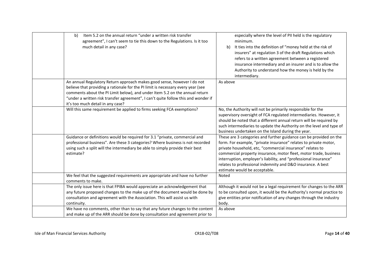| Item 5.2 on the annual return "under a written risk transfer<br>b)<br>agreement", I can't seem to tie this down to the Regulations. Is it too<br>much detail in any case?                                                                                                                                                                                             | especially where the level of PII held is the regulatory<br>minimum.<br>It ties into the definition of "money held at the risk of<br>$\mathbf{b}$<br>insurers" at regulation 3 of the draft Regulations which<br>refers to a written agreement between a registered<br>insurance intermediary and an insurer and is to allow the<br>Authority to understand how the money is held by the<br>intermediary.                                    |
|-----------------------------------------------------------------------------------------------------------------------------------------------------------------------------------------------------------------------------------------------------------------------------------------------------------------------------------------------------------------------|----------------------------------------------------------------------------------------------------------------------------------------------------------------------------------------------------------------------------------------------------------------------------------------------------------------------------------------------------------------------------------------------------------------------------------------------|
| An annual Regulatory Return approach makes good sense, however I do not<br>believe that providing a rationale for the PI limit is necessary every year (see<br>comments about the PI Limit below), and under Item 5.2 on the annual return<br>"under a written risk transfer agreement", I can't quite follow this and wonder if<br>it's too much detail in any case? | As above                                                                                                                                                                                                                                                                                                                                                                                                                                     |
| Will this same requirement be applied to firms seeking FCA exemptions?                                                                                                                                                                                                                                                                                                | No, the Authority will not be primarily responsible for the<br>supervisory oversight of FCA regulated intermediaries. However, it<br>should be noted that a different annual return will be required by<br>such intermediaries to update the Authority on the level and type of<br>business undertaken on the Island during the year.                                                                                                        |
| Guidance or definitions would be required for 3.1 "private, commercial and<br>professional business". Are these 3 categories? Where business is not recorded<br>using such a split will the intermediary be able to simply provide their best<br>estimate?                                                                                                            | These are 3 categories and further guidance can be provided on the<br>form. For example, "private insurance" relates to private motor,<br>private household, etc, "commercial insurance" relates to<br>commercial property insurance, motor fleet, motor trade, business<br>interruption, employer's liability, and "professional insurance"<br>relates to professional indemnity and D&O insurance. A best<br>estimate would be acceptable. |
| We feel that the suggested requirements are appropriate and have no further<br>comments to make.                                                                                                                                                                                                                                                                      | Noted                                                                                                                                                                                                                                                                                                                                                                                                                                        |
| The only issue here is that FPIBA would appreciate an acknowledgement that<br>any future proposed changes to the make up of the document would be done by<br>consultation and agreement with the Association. This will assist us with<br>continuity.                                                                                                                 | Although it would not be a legal requirement for changes to the ARR<br>to be consulted upon, it would be the Authority's normal practice to<br>give entities prior notification of any changes through the industry<br>body.                                                                                                                                                                                                                 |
| We have no comments, other than to say that any future changes to the content<br>and make up of the ARR should be done by consultation and agreement prior to                                                                                                                                                                                                         | As above                                                                                                                                                                                                                                                                                                                                                                                                                                     |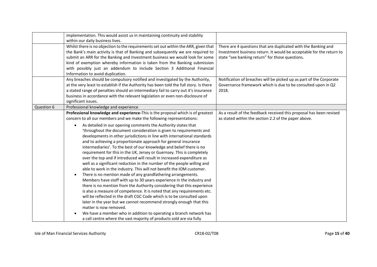|            | implementation. This would assist us in maintaining continuity and stability<br>within our daily business lives.                                                                                                                                                                                                                                                                                                                                                                                                                                                                                                                                                                                                                                                                                                                                                                                                                                                                                                                                                                                                                                                                                                                                                                                                                                                                                                                                                                 |                                                                                                                                                                                           |
|------------|----------------------------------------------------------------------------------------------------------------------------------------------------------------------------------------------------------------------------------------------------------------------------------------------------------------------------------------------------------------------------------------------------------------------------------------------------------------------------------------------------------------------------------------------------------------------------------------------------------------------------------------------------------------------------------------------------------------------------------------------------------------------------------------------------------------------------------------------------------------------------------------------------------------------------------------------------------------------------------------------------------------------------------------------------------------------------------------------------------------------------------------------------------------------------------------------------------------------------------------------------------------------------------------------------------------------------------------------------------------------------------------------------------------------------------------------------------------------------------|-------------------------------------------------------------------------------------------------------------------------------------------------------------------------------------------|
|            | Whilst there is no objection to the requirements set out within the ARR, given that<br>the Bank's main activity is that of Banking and subsequently we are required to<br>submit an ARR for the Banking and Investment business we would look for some<br>kind of exemption whereby information is taken from the Banking submission<br>with possibly just an addendum to include Section 3 Additional Financial<br>Information to avoid duplication.                                                                                                                                                                                                                                                                                                                                                                                                                                                                                                                                                                                                                                                                                                                                                                                                                                                                                                                                                                                                                            | There are 4 questions that are duplicated with the Banking and<br>Investment business return. It would be acceptable for the return to<br>state "see banking return" for those questions. |
|            | Any breaches should be compulsory notified and investigated by the Authority,<br>at the very least to establish if the Authority has been told the full story. Is there<br>a stated range of penalties should an intermediary fail to carry out it's insurance<br>business in accordance with the relevant legislation or even non-disclosure of<br>significant issues.                                                                                                                                                                                                                                                                                                                                                                                                                                                                                                                                                                                                                                                                                                                                                                                                                                                                                                                                                                                                                                                                                                          | Notification of breaches will be picked up as part of the Corporate<br>Governance framework which is due to be consulted upon in Q2<br>2018.                                              |
| Question 6 | Professional knowledge and experience                                                                                                                                                                                                                                                                                                                                                                                                                                                                                                                                                                                                                                                                                                                                                                                                                                                                                                                                                                                                                                                                                                                                                                                                                                                                                                                                                                                                                                            |                                                                                                                                                                                           |
|            | Professional knowledge and experience-This is the proposal which is of greatest<br>concern to all our members and we make the following representations:<br>As detailed in our opening comments the Authority states that<br>$\bullet$<br>'throughout the document consideration is given to requirements and<br>developments in other jurisdictions in line with international standards<br>and to achieving a proportionate approach for general insurance<br>intermediaries'. To the best of our knowledge and belief there is no<br>requirement for this in the UK, Jersey or Guernsey. This is completely<br>over the top and if introduced will result in increased expenditure as<br>well as a significant reduction in the number of the people willing and<br>able to work in the industry. This will not benefit the IOM customer.<br>There is no mention made of any grandfathering arrangements.<br>$\bullet$<br>Members have staff with up to 30 years experience in the industry and<br>there is no mention from the Authority considering that this experience<br>is also a measure of competence. It is noted that any requirements etc.<br>will be reflected in the draft CGC Code which is to be consulted upon<br>later in the year but we cannot recommend strongly enough that this<br>matter is now removed.<br>We have a member who in addition to operating a branch network has<br>a call centre where the vast majority of products sold are via fully | As a result of the feedback received this proposal has been revised<br>as stated within the section 2.2 of the paper above.                                                               |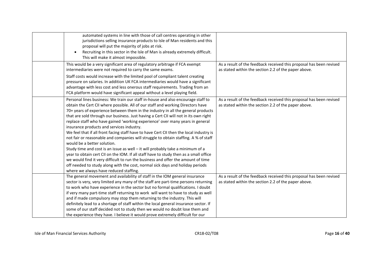| automated systems in line with those of call centres operating in other<br>jurisdictions selling insurance products to Isle of Man residents and this<br>proposal will put the majority of jobs at risk.<br>Recruiting in this sector in the Isle of Man is already extremely difficult.<br>$\bullet$<br>This will make it almost impossible.                                                                                                                                                                                                                                                                                                                                                                                                                                                                                                                                                                                                                                                                                                                                            |                                                                                                                             |
|------------------------------------------------------------------------------------------------------------------------------------------------------------------------------------------------------------------------------------------------------------------------------------------------------------------------------------------------------------------------------------------------------------------------------------------------------------------------------------------------------------------------------------------------------------------------------------------------------------------------------------------------------------------------------------------------------------------------------------------------------------------------------------------------------------------------------------------------------------------------------------------------------------------------------------------------------------------------------------------------------------------------------------------------------------------------------------------|-----------------------------------------------------------------------------------------------------------------------------|
| This would be a very significant area of regulatory arbitrage if FCA exempt<br>intermediaries were not required to carry the same exams.<br>Staff costs would increase with the limited pool of compliant talent creating<br>pressure on salaries. In addition UK FCA intermediaries would have a significant<br>advantage with less cost and less onerous staff requirements. Trading from an<br>FCA platform would have significant appeal without a level playing field.                                                                                                                                                                                                                                                                                                                                                                                                                                                                                                                                                                                                              | As a result of the feedback received this proposal has been revised<br>as stated within the section 2.2 of the paper above. |
| Personal lines business: We train our staff in-house and also encourage staff to<br>obtain the Cert CII where possible. All of our staff and working Directors have<br>70+ years of experience between them in the industry in all the general products<br>that are sold through our business. Just having a Cert CII will not in its own right<br>replace staff who have gained 'working experience' over many years in general<br>insurance products and services industry.<br>We feel that if all front facing staff have to have Cert CII then the local industry is<br>not fair or reasonable and companies will struggle to obtain staffing. A % of staff<br>would be a better solution.<br>Study time and cost is an issue as well - it will probably take a minimum of a<br>year to obtain cert CII on the IOM. If all staff have to study then as a small office<br>we would find it very difficult to run the business and offer the amount of time<br>off needed to study along with the cost, normal sick days and holiday periods<br>where we always have reduced staffing. | As a result of the feedback received this proposal has been revised<br>as stated within the section 2.2 of the paper above. |
| The general movement and availability of staff in the IOM general insurance<br>sector is very, very limited any many of the staff are part-time persons returning<br>to work who have experience in the sector but no formal qualifications. I doubt<br>if very many part-time staff returning to work will want to have to study as well<br>and if made compulsory may stop them returning to the industry. This will<br>definitely lead to a shortage of staff within the local general insurance sector. If<br>some of our staff decided not to study then we would no doubt lose them and<br>the experience they have. I believe it would prove extremely difficult for our                                                                                                                                                                                                                                                                                                                                                                                                          | As a result of the feedback received this proposal has been revised<br>as stated within the section 2.2 of the paper above. |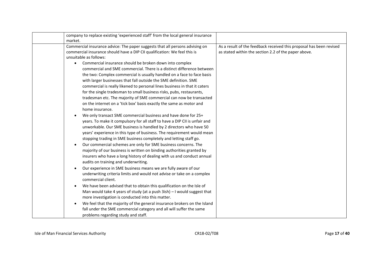| market.   | company to replace existing 'experienced staff' from the local general insurance                                                                                                                                                                                                                                                                                                                                                                                                                                                                                                                                                                                                                                                                                                                                                                                                                                                                                                                                                                                                                                                                                                                                                                                                                                                                                                                                                                                                                                                                                                                                                                                                                                                                    |                                                                                                                             |
|-----------|-----------------------------------------------------------------------------------------------------------------------------------------------------------------------------------------------------------------------------------------------------------------------------------------------------------------------------------------------------------------------------------------------------------------------------------------------------------------------------------------------------------------------------------------------------------------------------------------------------------------------------------------------------------------------------------------------------------------------------------------------------------------------------------------------------------------------------------------------------------------------------------------------------------------------------------------------------------------------------------------------------------------------------------------------------------------------------------------------------------------------------------------------------------------------------------------------------------------------------------------------------------------------------------------------------------------------------------------------------------------------------------------------------------------------------------------------------------------------------------------------------------------------------------------------------------------------------------------------------------------------------------------------------------------------------------------------------------------------------------------------------|-----------------------------------------------------------------------------------------------------------------------------|
| $\bullet$ | Commercial insurance advice: The paper suggests that all persons advising on<br>commercial insurance should have a DIP CII qualification: We feel this is<br>unsuitable as follows:<br>Commercial insurance should be broken down into complex<br>commercial and SME commercial. There is a distinct difference between<br>the two: Complex commercial is usually handled on a face to face basis<br>with larger businesses that fall outside the SME definition. SME<br>commercial is really likened to personal lines business in that it caters<br>for the single tradesman to small business risks, pubs, restaurants,<br>tradesman etc. The majority of SME commercial can now be transacted<br>on the internet on a 'tick box' basis exactly the same as motor and<br>home insurance.<br>We only transact SME commercial business and have done for 25+<br>years. To make it compulsory for all staff to have a DIP CII is unfair and<br>unworkable. Our SME business is handled by 2 directors who have 50<br>years' experience in this type of business. The requirement would mean<br>stopping trading in SME business completely and letting staff go.<br>Our commercial schemes are only for SME business concerns. The<br>majority of our business is written on binding authorities granted by<br>insurers who have a long history of dealing with us and conduct annual<br>audits on training and underwriting.<br>Our experience in SME business means we are fully aware of our<br>underwriting criteria limits and would not advise or take on a complex<br>commercial client.<br>We have been advised that to obtain this qualification on the Isle of<br>Man would take 4 years of study (at a push 3ish) - I would suggest that | As a result of the feedback received this proposal has been revised<br>as stated within the section 2.2 of the paper above. |
|           | more investigation is conducted into this matter.<br>We feel that the majority of the general insurance brokers on the Island<br>fall under the SME commercial category and all will suffer the same<br>problems regarding study and staff.                                                                                                                                                                                                                                                                                                                                                                                                                                                                                                                                                                                                                                                                                                                                                                                                                                                                                                                                                                                                                                                                                                                                                                                                                                                                                                                                                                                                                                                                                                         |                                                                                                                             |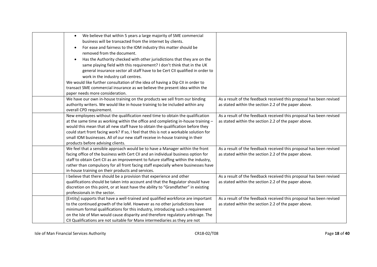| $\bullet$<br>$\bullet$<br>removed from the document.<br>٠<br>work in the industry call centres.<br>paper needs more consideration. | We believe that within 5 years a large majority of SME commercial<br>business will be transacted from the internet by clients.<br>For ease and fairness to the IOM industry this matter should be<br>Has the Authority checked with other jurisdictions that they are on the<br>same playing field with this requirement? I don't think that in the UK<br>general insurance sector all staff have to be Cert CII qualified in order to<br>We would like further consultation of the idea of having a Dip CII in order to<br>transact SME commercial insurance as we believe the present idea within the |                                                                                                                             |
|------------------------------------------------------------------------------------------------------------------------------------|---------------------------------------------------------------------------------------------------------------------------------------------------------------------------------------------------------------------------------------------------------------------------------------------------------------------------------------------------------------------------------------------------------------------------------------------------------------------------------------------------------------------------------------------------------------------------------------------------------|-----------------------------------------------------------------------------------------------------------------------------|
| overall CPD requirement.                                                                                                           | We have our own in-house training on the products we sell from our binding<br>authority writers. We would like in-house training to be included within any                                                                                                                                                                                                                                                                                                                                                                                                                                              | As a result of the feedback received this proposal has been revised<br>as stated within the section 2.2 of the paper above. |
| products before advising clients.                                                                                                  | New employees without the qualification need time to obtain the qualification<br>at the same time as working within the office and completing in-house training -<br>would this mean that all new staff have to obtain the qualification before they<br>could start front facing work? If so, I feel that this is not a workable solution for<br>small IOM businesses. All of our new staff receive in-house training in their                                                                                                                                                                          | As a result of the feedback received this proposal has been revised<br>as stated within the section 2.2 of the paper above. |
| in-house training on their products and services.                                                                                  | We feel that a sensible approach would be to have a Manager within the front<br>facing office of the business with Cert CII and an individual business option for<br>staff to obtain Cert CII as an improvement to future staffing within the industry,<br>rather than compulsory for all front facing staff especially where businesses have                                                                                                                                                                                                                                                           | As a result of the feedback received this proposal has been revised<br>as stated within the section 2.2 of the paper above. |
| I believe that there should be a provision that experience and other<br>professionals in the sector.                               | qualifications should be taken into account and that the Regulator should have<br>discretion on this point, or at least have the ability to "Grandfather" in existing                                                                                                                                                                                                                                                                                                                                                                                                                                   | As a result of the feedback received this proposal has been revised<br>as stated within the section 2.2 of the paper above. |
|                                                                                                                                    | [Entity] supports that have a well-trained and qualified workforce are important<br>to the continued growth of the IoM. However as no other jurisdictions have<br>minimum formal qualifications for this industry, introducing such a requirement<br>on the Isle of Man would cause disparity and therefore regulatory arbitrage. The<br>CII Qualifications are not suitable for Manx intermediaries as they are not                                                                                                                                                                                    | As a result of the feedback received this proposal has been revised<br>as stated within the section 2.2 of the paper above. |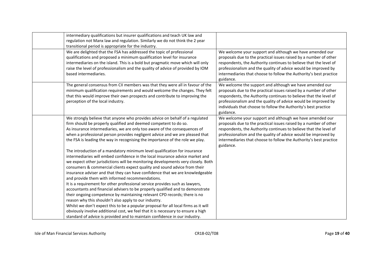| intermediary qualifications but insurer qualifications and teach UK law and<br>regulation not Manx law and regulation. Similarly we do not think the 2 year<br>transitional period is appropriate for the industry.                                                                                                                                                                                                                                                                                                                                                                                                                                                                                                                                                     |                                                                                                                                                                                                                                                                                                                                                         |
|-------------------------------------------------------------------------------------------------------------------------------------------------------------------------------------------------------------------------------------------------------------------------------------------------------------------------------------------------------------------------------------------------------------------------------------------------------------------------------------------------------------------------------------------------------------------------------------------------------------------------------------------------------------------------------------------------------------------------------------------------------------------------|---------------------------------------------------------------------------------------------------------------------------------------------------------------------------------------------------------------------------------------------------------------------------------------------------------------------------------------------------------|
| We are delighted that the FSA has addressed the topic of professional<br>qualifications and proposed a minimum qualification level for insurance<br>intermediaries on the island. This is a bold but pragmatic move which will only<br>raise the level of professionalism and the quality of advice of provided by IOM<br>based intermediaries.                                                                                                                                                                                                                                                                                                                                                                                                                         | We welcome your support and although we have amended our<br>proposals due to the practical issues raised by a number of other<br>respondents, the Authority continues to believe that the level of<br>professionalism and the quality of advice would be improved by<br>intermediaries that choose to follow the Authority's best practice<br>guidance. |
| The general consensus from CII members was that they were all in favour of the<br>minimum qualification requirements and would welcome the changes. They felt<br>that this would improve their own prospects and contribute to improving the<br>perception of the local industry.                                                                                                                                                                                                                                                                                                                                                                                                                                                                                       | We welcome the support and although we have amended our<br>proposals due to the practical issues raised by a number of other<br>respondents, the Authority continues to believe that the level of<br>professionalism and the quality of advice would be improved by<br>individuals that choose to follow the Authority's best practice<br>guidance.     |
| We strongly believe that anyone who provides advice on behalf of a regulated<br>firm should be properly qualified and deemed competent to do so.<br>As insurance intermediaries, we are only too aware of the consequences of<br>when a professional person provides negligent advice and we are pleased that<br>the FSA is leading the way in recognising the importance of the role we play.                                                                                                                                                                                                                                                                                                                                                                          | We welcome your support and although we have amended our<br>proposals due to the practical issues raised by a number of other<br>respondents, the Authority continues to believe that the level of<br>professionalism and the quality of advice would be improved by<br>intermediaries that choose to follow the Authority's best practice<br>guidance. |
| The introduction of a mandatory minimum level qualification for insurance<br>intermediaries will embed confidence in the local insurance advice market and<br>we expect other jurisdictions will be monitoring developments very closely. Both<br>consumers & commercial clients expect quality and sound advice from their<br>insurance adviser and that they can have confidence that we are knowledgeable<br>and provide them with informed recommendations.<br>It is a requirement for other professional service provides such as lawyers,<br>accountants and financial advisers to be properly qualified and to demonstrate<br>their ongoing competence by maintaining relevant CPD records; there is no<br>reason why this shouldn't also apply to our industry. |                                                                                                                                                                                                                                                                                                                                                         |
| Whilst we don't expect this to be a popular proposal for all local firms as it will<br>obviously involve additional cost, we feel that it is necessary to ensure a high<br>standard of advice is provided and to maintain confidence in our industry.                                                                                                                                                                                                                                                                                                                                                                                                                                                                                                                   |                                                                                                                                                                                                                                                                                                                                                         |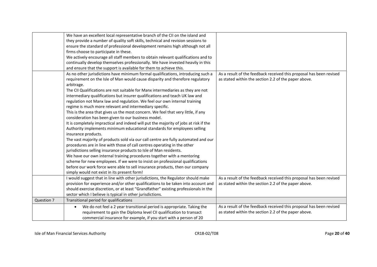|            | We have an excellent local representative branch of the CII on the island and               |                                                                     |
|------------|---------------------------------------------------------------------------------------------|---------------------------------------------------------------------|
|            | they provide a number of quality soft skills, technical and revision sessions to            |                                                                     |
|            | ensure the standard of professional development remains high although not all               |                                                                     |
|            | firms choose to participate in these.                                                       |                                                                     |
|            | We actively encourage all staff members to obtain relevant qualifications and to            |                                                                     |
|            | continually develop themselves professionally. We have invested heavily in this             |                                                                     |
|            | and ensure that the support is available for them to achieve this.                          |                                                                     |
|            | As no other jurisdictions have minimum formal qualifications, introducing such a            | As a result of the feedback received this proposal has been revised |
|            | requirement on the Isle of Man would cause disparity and therefore regulatory<br>arbitrage. | as stated within the section 2.2 of the paper above.                |
|            | The CII Qualifications are not suitable for Manx intermediaries as they are not             |                                                                     |
|            | intermediary qualifications but insurer qualifications and teach UK law and                 |                                                                     |
|            | regulation not Manx law and regulation. We feel our own internal training                   |                                                                     |
|            | regime is much more relevant and intermediary specific.                                     |                                                                     |
|            | This is the area that gives us the most concern. We feel that very little, if any           |                                                                     |
|            | consideration has been given to our business model.                                         |                                                                     |
|            | It is completely impractical and indeed will put the majority of jobs at risk if the        |                                                                     |
|            | Authority implements minimum educational standards for employees selling                    |                                                                     |
|            | insurance products.                                                                         |                                                                     |
|            | The vast majority of products sold via our call centre are fully automated and our          |                                                                     |
|            | procedures are in line with those of call centres operating in the other                    |                                                                     |
|            | jurisdictions selling insurance products to Isle of Man residents.                          |                                                                     |
|            | We have our own internal training procedures together with a mentoring                      |                                                                     |
|            | scheme for new employees. If we were to insist on professional qualifications               |                                                                     |
|            | before our work force were able to sell insurance products, then our company                |                                                                     |
|            | simply would not exist in its present form!                                                 |                                                                     |
|            | I would suggest that in line with other jurisdictions, the Regulator should make            | As a result of the feedback received this proposal has been revised |
|            | provision for experience and/or other qualifications to be taken into account and           | as stated within the section 2.2 of the paper above.                |
|            | should exercise discretion, or at least "Grandfather" existing professionals in the         |                                                                     |
|            | sector which I believe is typical in other jurisdictions.                                   |                                                                     |
| Question 7 | Transitional period for qualifications                                                      |                                                                     |
|            | We do not feel a 2 year transitional period is appropriate. Taking the<br>$\bullet$         | As a result of the feedback received this proposal has been revised |
|            | requirement to gain the Diploma level CII qualification to transact                         | as stated within the section 2.2 of the paper above.                |
|            | commercial insurance for example, if you start with a person of 20                          |                                                                     |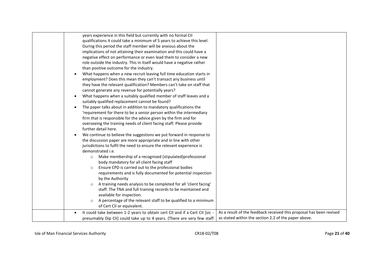| years experience in this field but currently with no formal CII<br>qualifications it could take a minimum of 5 years to achieve this level.<br>During this period the staff member will be anxious about the<br>implications of not attaining their examination and this could have a<br>negative effect on performance or even lead them to consider a new<br>role outside the industry. This in itself would have a negative rather<br>than positive outcome for the industry.<br>What happens when a new recruit leaving full time education starts in<br>employment? Does this mean they can't transact any business until<br>they have the relevant qualification? Members can't take on staff that<br>cannot generate any revenue for potentially years?<br>What happens when a suitably qualified member of staff leaves and a<br>suitably qualified replacement cannot be found?<br>The paper talks about in addition to mandatory qualifications the<br>$\bullet$<br>'requirement for there to be a senior person within the intermediary<br>firm that is responsible for the advice given by the firm and for<br>overseeing the training needs of client facing staff. Please provide<br>further detail here.<br>We continue to believe the suggestions we put forward in response to<br>the discussion paper are more appropriate and in line with other<br>jurisdictions to fulfil the need to ensure the relevant experience is<br>demonstrated i.e.<br>Make membership of a recognised (stipulated)professional<br>$\circ$<br>body mandatory for all client facing staff<br>Ensure CPD is carried out to the professional bodies<br>$\circ$<br>requirements and is fully documented for potential inspection<br>by the Authority<br>A training needs analysis to be completed for all 'client facing'<br>$\circ$<br>staff. The TNA and full training records to be maintained and<br>available for inspection.<br>A percentage of the relevant staff to be qualified to a minimum |                                                                                                                             |
|-------------------------------------------------------------------------------------------------------------------------------------------------------------------------------------------------------------------------------------------------------------------------------------------------------------------------------------------------------------------------------------------------------------------------------------------------------------------------------------------------------------------------------------------------------------------------------------------------------------------------------------------------------------------------------------------------------------------------------------------------------------------------------------------------------------------------------------------------------------------------------------------------------------------------------------------------------------------------------------------------------------------------------------------------------------------------------------------------------------------------------------------------------------------------------------------------------------------------------------------------------------------------------------------------------------------------------------------------------------------------------------------------------------------------------------------------------------------------------------------------------------------------------------------------------------------------------------------------------------------------------------------------------------------------------------------------------------------------------------------------------------------------------------------------------------------------------------------------------------------------------------------------------------------------------------------------------------------------------------------------|-----------------------------------------------------------------------------------------------------------------------------|
| of Cert CII or equivalent.<br>It could take between 1-2 years to obtain cert CII and if a Cert CII [sic -<br>presumably Dip CII] could take up to 4 years. (There are very few staff                                                                                                                                                                                                                                                                                                                                                                                                                                                                                                                                                                                                                                                                                                                                                                                                                                                                                                                                                                                                                                                                                                                                                                                                                                                                                                                                                                                                                                                                                                                                                                                                                                                                                                                                                                                                            | As a result of the feedback received this proposal has been revised<br>as stated within the section 2.2 of the paper above. |
|                                                                                                                                                                                                                                                                                                                                                                                                                                                                                                                                                                                                                                                                                                                                                                                                                                                                                                                                                                                                                                                                                                                                                                                                                                                                                                                                                                                                                                                                                                                                                                                                                                                                                                                                                                                                                                                                                                                                                                                                 |                                                                                                                             |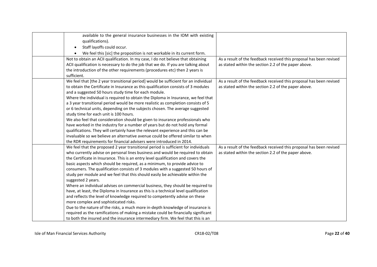| available to the general insurance businesses in the IOM with existing<br>qualifications).                           |                                                                     |
|----------------------------------------------------------------------------------------------------------------------|---------------------------------------------------------------------|
| Staff layoffs could occur.<br>$\bullet$                                                                              |                                                                     |
|                                                                                                                      |                                                                     |
| We feel this [sic] the proposition is not workable in its current form.<br>$\bullet$                                 |                                                                     |
| Not to obtain an ACII qualification. In my case, I do not believe that obtaining                                     | As a result of the feedback received this proposal has been revised |
| ACII qualification is necessary to do the job that we do. If you are talking about                                   | as stated within the section 2.2 of the paper above.                |
| the introduction of the other requirements (procedures etc) then 2 years is                                          |                                                                     |
| sufficient.                                                                                                          |                                                                     |
| We feel that [the 2 year transitional period] would be sufficient for an individual                                  | As a result of the feedback received this proposal has been revised |
| to obtain the Certificate in Insurance as this qualification consists of 3 modules                                   | as stated within the section 2.2 of the paper above.                |
| and a suggested 50 hours study time for each module.                                                                 |                                                                     |
| Where the individual is required to obtain the Diploma in Insurance, we feel that                                    |                                                                     |
| a 3 year transitional period would be more realistic as completion consists of 5                                     |                                                                     |
| or 6 technical units, depending on the subjects chosen. The average suggested                                        |                                                                     |
| study time for each unit is 100 hours.                                                                               |                                                                     |
| We also feel that consideration should be given to insurance professionals who                                       |                                                                     |
| have worked in the industry for a number of years but do not hold any formal                                         |                                                                     |
| qualifications. They will certainly have the relevant experience and this can be                                     |                                                                     |
| invaluable so we believe an alternative avenue could be offered similar to when                                      |                                                                     |
| the RDR requirements for financial advisers were introduced in 2014.                                                 |                                                                     |
| We feel that the proposed 2 year transitional period is sufficient for individuals                                   | As a result of the feedback received this proposal has been revised |
| who currently advise on personal lines business and would be required to obtain                                      | as stated within the section 2.2 of the paper above.                |
| the Certificate in Insurance. This is an entry level qualification and covers the                                    |                                                                     |
| basic aspects which should be required, as a minimum, to provide advice to                                           |                                                                     |
| consumers. The qualification consists of 3 modules with a suggested 50 hours of                                      |                                                                     |
| study per module and we feel that this should easily be achievable within the                                        |                                                                     |
| suggested 2 years.                                                                                                   |                                                                     |
| Where an individual advises on commercial business, they should be required to                                       |                                                                     |
| have, at least, the Diploma in Insurance as this is a technical level qualification                                  |                                                                     |
| and reflects the level of knowledge required to competently advise on these<br>more complex and sophisticated risks. |                                                                     |
| Due to the nature of the risks, a much more in-depth knowledge of insurance is                                       |                                                                     |
| required as the ramifications of making a mistake could be financially significant                                   |                                                                     |
|                                                                                                                      |                                                                     |
| to both the insured and the insurance intermediary firm. We feel that this is an                                     |                                                                     |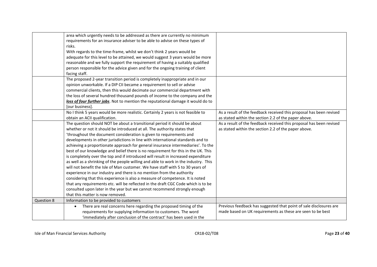|            | area which urgently needs to be addressed as there are currently no minimum<br>requirements for an insurance adviser to be able to advise on these types of<br>risks.<br>With regards to the time-frame, whilst we don't think 2 years would be<br>adequate for this level to be attained, we would suggest 3 years would be more<br>reasonable and we fully support the requirement of having a suitably qualified<br>person responsible for the advice given and for the ongoing training of client<br>facing staff.                                                                                                                                                                                                                                                                                                                                                                                                                                                                                                                                                                                                |                                                                                                                                  |
|------------|-----------------------------------------------------------------------------------------------------------------------------------------------------------------------------------------------------------------------------------------------------------------------------------------------------------------------------------------------------------------------------------------------------------------------------------------------------------------------------------------------------------------------------------------------------------------------------------------------------------------------------------------------------------------------------------------------------------------------------------------------------------------------------------------------------------------------------------------------------------------------------------------------------------------------------------------------------------------------------------------------------------------------------------------------------------------------------------------------------------------------|----------------------------------------------------------------------------------------------------------------------------------|
|            | The proposed 2-year transition period is completely inappropriate and in our<br>opinion unworkable. If a DIP CII became a requirement to sell or advise<br>commercial clients, then this would decimate our commercial department with<br>the loss of several hundred thousand pounds of income to the company and the<br>loss of four further jobs. Not to mention the reputational damage it would do to<br>[our business].                                                                                                                                                                                                                                                                                                                                                                                                                                                                                                                                                                                                                                                                                         |                                                                                                                                  |
|            | No I think 5 years would be more realistic. Certainly 2 years is not feasible to<br>obtain an ACII qualification.                                                                                                                                                                                                                                                                                                                                                                                                                                                                                                                                                                                                                                                                                                                                                                                                                                                                                                                                                                                                     | As a result of the feedback received this proposal has been revised<br>as stated within the section 2.2 of the paper above.      |
|            | The question should NOT be about a transitional period it should be about<br>whether or not it should be introduced at all. The authority states that<br>'throughout the document consideration is given to requirements and<br>developments in other jurisdictions in line with international standards and to<br>achieving a proportionate approach for general insurance intermediaries'. To the<br>best of our knowledge and belief there is no requirement for this in the UK. This<br>is completely over the top and if introduced will result in increased expenditure<br>as well as a shrinking of the people willing and able to work in the industry. This<br>will not benefit the Isle of Man customer. We have staff with 5 to 30 years of<br>experience in our industry and there is no mention from the authority<br>considering that this experience is also a measure of competence. It is noted<br>that any requirements etc. will be reflected in the draft CGC Code which is to be<br>consulted upon later in the year but we cannot recommend strongly enough<br>that this matter is now removed. | As a result of the feedback received this proposal has been revised<br>as stated within the section 2.2 of the paper above.      |
| Question 8 | Information to be provided to customers                                                                                                                                                                                                                                                                                                                                                                                                                                                                                                                                                                                                                                                                                                                                                                                                                                                                                                                                                                                                                                                                               |                                                                                                                                  |
|            | There are real concerns here regarding the proposed timing of the<br>$\bullet$<br>requirements for supplying information to customers. The word<br>'immediately after conclusion of the contract' has been used in the                                                                                                                                                                                                                                                                                                                                                                                                                                                                                                                                                                                                                                                                                                                                                                                                                                                                                                | Previous feedback has suggested that point of sale disclosures are<br>made based on UK requirements as these are seen to be best |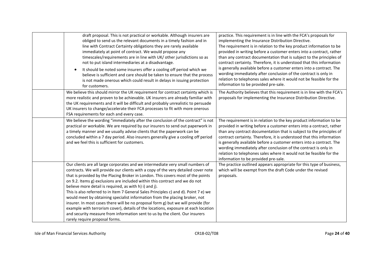| draft proposal. This is not practical or workable. Although insurers are<br>obliged to send us the relevant documents in a timely fashion and in<br>line with Contract Certainty obligations they are rarely available<br>immediately at point of contract. We would propose any<br>timescales/requirements are in line with UK/ other jurisdictions so as<br>not to put island intermediaries at a disadvantage.<br>It should be noted some insurers offer a cooling off period which we<br>$\bullet$<br>believe is sufficient and care should be taken to ensure that the process<br>is not made onerous which could result in delays in issuing protection<br>for customers.                                                                                                                                                                                       | practice. This requirement is in line with the FCA's proposals for<br>implementing the Insurance Distribution Directive.<br>The requirement is in relation to the key product information to be<br>provided in writing before a customer enters into a contract, rather<br>than any contract documentation that is subject to the principles of<br>contract certainty. Therefore, it is understood that this information<br>is generally available before a customer enters into a contract. The<br>wording immediately after conclusion of the contract is only in<br>relation to telephones sales where it would not be feasible for the<br>information to be provided pre-sale. |
|-----------------------------------------------------------------------------------------------------------------------------------------------------------------------------------------------------------------------------------------------------------------------------------------------------------------------------------------------------------------------------------------------------------------------------------------------------------------------------------------------------------------------------------------------------------------------------------------------------------------------------------------------------------------------------------------------------------------------------------------------------------------------------------------------------------------------------------------------------------------------|------------------------------------------------------------------------------------------------------------------------------------------------------------------------------------------------------------------------------------------------------------------------------------------------------------------------------------------------------------------------------------------------------------------------------------------------------------------------------------------------------------------------------------------------------------------------------------------------------------------------------------------------------------------------------------|
| We believe this should mirror the UK requirement for contract certainty which is<br>more realistic and proven to be achievable. UK insurers are already familiar with<br>the UK requirements and it will be difficult and probably unrealistic to persuade<br>UK insurers to change/accelerate their FCA processes to fit with more onerous<br>FSA requirements for each and every case.                                                                                                                                                                                                                                                                                                                                                                                                                                                                              | The Authority believes that this requirement is in line with the FCA's<br>proposals for implementing the Insurance Distribution Directive.                                                                                                                                                                                                                                                                                                                                                                                                                                                                                                                                         |
| We believe the wording "immediately after the conclusion of the contract" is not<br>practical or workable. We are required by our insurers to send out paperwork in<br>a timely manner and we usually advise clients that the paperwork can be<br>concluded within a 7 day period. Also insurers generally give a cooling off period<br>and we feel this is sufficient for customers.                                                                                                                                                                                                                                                                                                                                                                                                                                                                                 | The requirement is in relation to the key product information to be<br>provided in writing before a customer enters into a contract, rather<br>than any contract documentation that is subject to the principles of<br>contract certainty. Therefore, it is understood that this information<br>is generally available before a customer enters into a contract. The<br>wording immediately after conclusion of the contract is only in<br>relation to telephones sales where it would not be feasible for the<br>information to be provided pre-sale.                                                                                                                             |
| Our clients are all large corporates and we intermediate very small numbers of<br>contracts. We will provide our clients with a copy of the very detailed cover note<br>that is provided by the Placing Broker in London. This covers most of the points<br>on 9.2. Items g) exclusions are included within this contract and we do not<br>believe more detail is required, as with h) i) and j).<br>This is also referred to in Item 7 General Sales Principles c) and d). Point 7 e) we<br>would meet by obtaining specialist information from the placing broker, not<br>insurer. In most cases there will be no proposal form g) but we will provide (for<br>example with terrorism cover), details of the locations, exposure at each location<br>and security measure from information sent to us by the client. Our insurers<br>rarely require proposal forms. | The practice outlined appears appropriate for this type of business,<br>which will be exempt from the draft Code under the revised<br>proposals.                                                                                                                                                                                                                                                                                                                                                                                                                                                                                                                                   |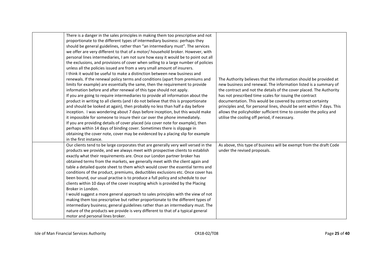| There is a danger in the sales principles in making them too prescriptive and not<br>proportionate to the different types of intermediary business: perhaps they<br>should be general guidelines, rather than "an intermediary must". The services<br>we offer are very different to that of a motor/ household broker. However, with<br>personal lines intermediaries, I am not sure how easy it would be to point out all<br>the exclusions, and provisions of cover when selling to a large number of policies<br>unless all the policies issued are from a very small amount of insurers.<br>I think it would be useful to make a distinction between new business and<br>renewals. If the renewal policy terms and conditions (apart from premiums and<br>limits for example) are essentially the same, then the requirement to provide<br>information before and after renewal of this type should not apply.<br>If you are going to require intermediaries to provide all information about the<br>product in writing to all clients (and I do not believe that this is proportionate<br>and should be looked at again), then probably no less than half a day before<br>inception. I was wondering about 7 days before inception, but this would make<br>it impossible for someone to insure their car over the phone immediately.<br>If you are providing details of cover placed (via cover note for example), then<br>perhaps within 14 days of binding cover. Sometimes there is slippage in<br>obtaining the cover note, cover may be evidenced by a placing slip for example<br>in the first instance. | The Authority believes that the information should be provided at<br>new business and renewal. The information listed is a summary of<br>the contract and not the details of the cover placed. The Authority<br>has not prescribed time scales for issuing the contract<br>documentation. This would be covered by contract certainty<br>principles and, for personal lines, should be sent within 7 days. This<br>allows the policyholder sufficient time to consider the policy and<br>utilise the cooling off period, if necessary. |
|----------------------------------------------------------------------------------------------------------------------------------------------------------------------------------------------------------------------------------------------------------------------------------------------------------------------------------------------------------------------------------------------------------------------------------------------------------------------------------------------------------------------------------------------------------------------------------------------------------------------------------------------------------------------------------------------------------------------------------------------------------------------------------------------------------------------------------------------------------------------------------------------------------------------------------------------------------------------------------------------------------------------------------------------------------------------------------------------------------------------------------------------------------------------------------------------------------------------------------------------------------------------------------------------------------------------------------------------------------------------------------------------------------------------------------------------------------------------------------------------------------------------------------------------------------------------------------------------------------------------|----------------------------------------------------------------------------------------------------------------------------------------------------------------------------------------------------------------------------------------------------------------------------------------------------------------------------------------------------------------------------------------------------------------------------------------------------------------------------------------------------------------------------------------|
| Our clients tend to be large corporates that are generally very well versed in the<br>products we provide, and we always meet with prospective clients to establish<br>exactly what their requirements are. Once our London partner broker has<br>obtained terms from the markets, we generally meet with the client again and<br>table a detailed quote sheet to them which would cover the essential terms and<br>conditions of the product, premiums, deductibles exclusions etc. Once cover has<br>been bound, our usual practise is to produce a full policy and schedule to our<br>clients within 10 days of the cover incepting which is provided by the Placing<br>Broker in London.<br>I would suggest a more general approach to sales principles with the view of not<br>making them too prescriptive but rather proportionate to the different types of<br>intermediary business; general guidelines rather than an intermediary must. The<br>nature of the products we provide is very different to that of a typical general<br>motor and personal lines broker.                                                                                                                                                                                                                                                                                                                                                                                                                                                                                                                                       | As above, this type of business will be exempt from the draft Code<br>under the revised proposals.                                                                                                                                                                                                                                                                                                                                                                                                                                     |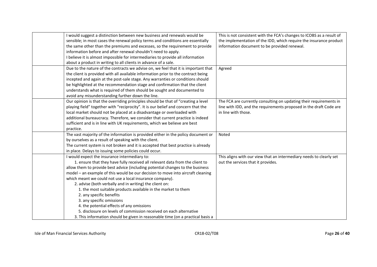| I would suggest a distinction between new business and renewals would be           | This is not consistent with the FCA's changes to ICOBS as a result of |
|------------------------------------------------------------------------------------|-----------------------------------------------------------------------|
| sensible; in most cases the renewal policy terms and conditions are essentially    | the implementation of the IDD, which require the insurance product    |
| the same other than the premiums and excesses, so the requirement to provide       | information document to be provided renewal.                          |
| information before and after renewal shouldn't need to apply.                      |                                                                       |
| I believe it is almost impossible for intermediaries to provide all information    |                                                                       |
| about a product in writing to all clients in advance of a sale.                    |                                                                       |
| Due to the nature of the contracts we advise on, we feel that it is important that | Agreed                                                                |
| the client is provided with all available information prior to the contract being  |                                                                       |
| incepted and again at the post-sale stage. Any warranties or conditions should     |                                                                       |
| be highlighted at the recommendation stage and confirmation that the client        |                                                                       |
| understands what is required of them should be sought and documented to            |                                                                       |
| avoid any misunderstanding further down the line.                                  |                                                                       |
| Our opinion is that the overriding principles should be that of "creating a level  | The FCA are currently consulting on updating their requirements in    |
| playing field" together with "reciprocity". It is our belief and concern that the  | line with IDD, and the requirements proposed in the draft Code are    |
| local market should not be placed at a disadvantage or overloaded with             | in line with those.                                                   |
| additional bureaucracy. Therefore, we consider that current practice is indeed     |                                                                       |
| sufficient and is in line with UK requirements, which we believe are best          |                                                                       |
| practice.                                                                          |                                                                       |
| The vast majority of the information is provided either in the policy document or  | Noted                                                                 |
| by ourselves as a result of speaking with the client.                              |                                                                       |
| The current system is not broken and it is accepted that best practice is already  |                                                                       |
| in place. Delays to issuing some policies could occur.                             |                                                                       |
| I would expect the insurance intermediary to:                                      | This aligns with our view that an intermediary needs to clearly set   |
| 1. ensure that they have fully received all relevant data from the client to       | out the services that it provides.                                    |
| allow them to provide best advice (including potential changes to the business     |                                                                       |
| model - an example of this would be our decision to move into aircraft cleaning    |                                                                       |
| which meant we could not use a local insurance company).                           |                                                                       |
| 2. advise (both verbally and in writing) the client on:                            |                                                                       |
| 1. the most suitable products available in the market to them                      |                                                                       |
| 2. any specific benefits                                                           |                                                                       |
| 3. any specific omissions                                                          |                                                                       |
| 4. the potential effects of any omissions                                          |                                                                       |
| 5. disclosure on levels of commission received on each alternative                 |                                                                       |
| 3. This information should be given in reasonable time (on a practical basis a     |                                                                       |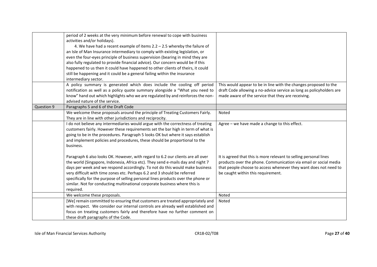|            | period of 2 weeks at the very minimum before renewal to cope with business<br>activities and/or holidays).<br>4. We have had a recent example of items $2.2 - 2.5$ whereby the failure of<br>an Isle of Man Insurance intermediary to comply with existing legislation, or<br>even the four-eyes principle of business supervision (bearing in mind they are<br>also fully regulated to provide financial advice). Our concern would be if this<br>happened to us then it could have happened to other clients of theirs, it could<br>still be happening and it could be a general failing within the insurance<br>intermediary sector. |                                                                                                                                                                                                                                                 |
|------------|-----------------------------------------------------------------------------------------------------------------------------------------------------------------------------------------------------------------------------------------------------------------------------------------------------------------------------------------------------------------------------------------------------------------------------------------------------------------------------------------------------------------------------------------------------------------------------------------------------------------------------------------|-------------------------------------------------------------------------------------------------------------------------------------------------------------------------------------------------------------------------------------------------|
|            | A policy summary is generated which does include the cooling off period<br>notification as well as a policy quote summary alongside a "What you need to<br>know" hand out which highlights who we are regulated by and reinforces the non-<br>advised nature of the service.                                                                                                                                                                                                                                                                                                                                                            | This would appear to be in line with the changes proposed to the<br>draft Code allowing a no-advice service as long as policyholders are<br>made aware of the service that they are receiving.                                                  |
| Question 9 | Paragraphs 5 and 6 of the Draft Code                                                                                                                                                                                                                                                                                                                                                                                                                                                                                                                                                                                                    |                                                                                                                                                                                                                                                 |
|            | We welcome these proposals around the principle of Treating Customers Fairly.<br>They are in line with other jurisdictions and reciprocity.                                                                                                                                                                                                                                                                                                                                                                                                                                                                                             | Noted                                                                                                                                                                                                                                           |
|            | I do not believe any intermediaries would argue with the correctness of treating<br>customers fairly. However these requirements set the bar high in term of what is<br>going to be in the procedures. Paragraph 5 looks OK but where it says establish<br>and implement policies and procedures, these should be proportional to the<br>business.                                                                                                                                                                                                                                                                                      | Agree - we have made a change to this effect.                                                                                                                                                                                                   |
|            | Paragraph 6 also looks OK. However, with regard to 6.2 our clients are all over<br>the world (Singapore, Indonesia, Africa etc). They send e-mails day and night 7<br>days per week and we respond accordingly. To not do this would make business<br>very difficult with time zones etc. Perhaps 6.2 and 3 should be referred<br>specifically for the purpose of selling personal lines products over the phone or<br>similar. Not for conducting multinational corporate business where this is<br>required.                                                                                                                          | It is agreed that this is more relevant to selling personal lines<br>products over the phone. Communication via email or social media<br>that people choose to access whenever they want does not need to<br>be caught within this requirement. |
|            | We welcome these proposals.                                                                                                                                                                                                                                                                                                                                                                                                                                                                                                                                                                                                             | Noted                                                                                                                                                                                                                                           |
|            | [We] remain committed to ensuring that customers are treated appropriately and<br>with respect. We consider our internal controls are already well established and<br>focus on treating customers fairly and therefore have no further comment on<br>these draft paragraphs of the Code.                                                                                                                                                                                                                                                                                                                                                | Noted                                                                                                                                                                                                                                           |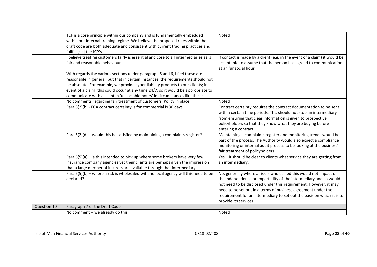|             | TCF is a core principle within our company and is fundamentally embedded<br>within our internal training regime. We believe the proposed rules within the<br>draft code are both adequate and consistent with current trading practices and | Noted                                                                                                                             |
|-------------|---------------------------------------------------------------------------------------------------------------------------------------------------------------------------------------------------------------------------------------------|-----------------------------------------------------------------------------------------------------------------------------------|
|             | fullfill [sic] the ICP's.                                                                                                                                                                                                                   |                                                                                                                                   |
|             | I believe treating customers fairly is essential and core to all intermediaries as is                                                                                                                                                       | If contact is made by a client (e.g. in the event of a claim) it would be                                                         |
|             | fair and reasonable behaviour.                                                                                                                                                                                                              | acceptable to assume that the person has agreed to communication<br>at an 'unsocial hour'.                                        |
|             | With regards the various sections under paragraph 5 and 6, I feel these are                                                                                                                                                                 |                                                                                                                                   |
|             | reasonable in general, but that in certain instances, the requirements should not                                                                                                                                                           |                                                                                                                                   |
|             | be absolute. For example, we provide cyber liability products to our clients; in                                                                                                                                                            |                                                                                                                                   |
|             | event of a claim, this could occur at any time 24/7, so it would be appropriate to<br>communicate with a client in 'unsociable hours' in circumstances like these.                                                                          |                                                                                                                                   |
|             | No comments regarding fair treatment of customers. Policy in place.                                                                                                                                                                         | Noted                                                                                                                             |
|             | Para 5(2)(b) - FCA contract certainty is for commercial is 30 days.                                                                                                                                                                         | Contract certainty requires the contract documentation to be sent                                                                 |
|             |                                                                                                                                                                                                                                             | within certain time periods. This should not stop an intermediary                                                                 |
|             |                                                                                                                                                                                                                                             | from ensuring that clear information is given to prospective                                                                      |
|             |                                                                                                                                                                                                                                             | policyholders so that they know what they are buying before                                                                       |
|             |                                                                                                                                                                                                                                             | entering a contract.                                                                                                              |
|             | Para $5(2)(d)$ – would this be satisfied by maintaining a complaints register?                                                                                                                                                              | Maintaining a complaints register and monitoring trends would be                                                                  |
|             |                                                                                                                                                                                                                                             | part of the process. The Authority would also expect a compliance                                                                 |
|             |                                                                                                                                                                                                                                             | monitoring or internal audit process to be looking at the business'                                                               |
|             |                                                                                                                                                                                                                                             | fair treatment of policyholders.                                                                                                  |
|             | Para $5(5)(a)$ – is this intended to pick up where some brokers have very few                                                                                                                                                               | Yes - it should be clear to clients what service they are getting from                                                            |
|             | insurance company agencies yet their clients are perhaps given the impression                                                                                                                                                               | an intermediary.                                                                                                                  |
|             | that a large number of insurers are available through that intermediary.                                                                                                                                                                    |                                                                                                                                   |
|             | Para 5(5)(b) - where a risk is wholesaled with no local agency will this need to be                                                                                                                                                         | No, generally where a risk is wholesaled this would not impact on                                                                 |
|             | declared?                                                                                                                                                                                                                                   | the independence or impartiality of the intermediary and so would                                                                 |
|             |                                                                                                                                                                                                                                             | not need to be disclosed under this requirement. However, it may<br>need to be set out in a terms of business agreement under the |
|             |                                                                                                                                                                                                                                             | requirement for an intermediary to set out the basis on which it is to                                                            |
|             |                                                                                                                                                                                                                                             | provide its services.                                                                                                             |
| Question 10 | Paragraph 7 of the Draft Code                                                                                                                                                                                                               |                                                                                                                                   |
|             | No comment - we already do this.                                                                                                                                                                                                            | Noted                                                                                                                             |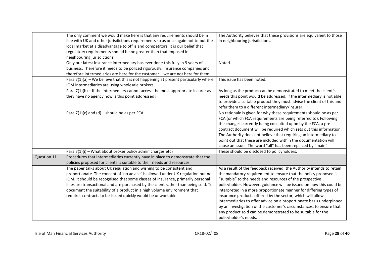|             | The only comment we would make here is that any requirements should be in                                                               | The Authority believes that these provisions are equivalent to those  |
|-------------|-----------------------------------------------------------------------------------------------------------------------------------------|-----------------------------------------------------------------------|
|             | line with UK and other jurisdictions requirements so as once again not to put the                                                       | in neighbouring jurisdictions.                                        |
|             | local market at a disadvantage to off island competitors. It is our belief that                                                         |                                                                       |
|             | regulatory requirements should be no greater than that imposed in                                                                       |                                                                       |
|             | neighbouring jurisdictions.                                                                                                             |                                                                       |
|             | Only our latest insurance intermediary has ever done this fully in 9 years of                                                           | Noted                                                                 |
|             | business. Therefore it needs to be policed rigorously. Insurance companies and                                                          |                                                                       |
|             | therefore intermediaries are here for the customer - we are not here for them.                                                          |                                                                       |
|             | Para $7(1)(a)$ – We believe that this is not happening at present particularly where<br>IOM intermediaries are using wholesale brokers. | This issue has been noted.                                            |
|             | Para $7(1)(b)$ – If the intermediary cannot access the most appropriate insurer as                                                      | As long as the product can be demonstrated to meet the client's       |
|             | they have no agency how is this point addressed?                                                                                        | needs this point would be addressed. If the intermediary is not able  |
|             |                                                                                                                                         | to provide a suitable product they must advise the client of this and |
|             |                                                                                                                                         | refer them to a different intermediary/insurer.                       |
|             | Para $7(1)(c)$ and (d) – should be as per FCA                                                                                           | No rationale is given for why these requirements should be as per     |
|             |                                                                                                                                         | FCA (or which FCA requirements are being referred to). Following      |
|             |                                                                                                                                         | the changes currently being consulted upon by the FCA, a pre-         |
|             |                                                                                                                                         | contract document will be required which sets out this information.   |
|             |                                                                                                                                         | The Authority does not believe that requiring an intermediary to      |
|             |                                                                                                                                         | point out that these are included within the documentation will       |
|             |                                                                                                                                         | cause an issue. The word "all" has been replaced by "main".           |
|             | Para 7(1)(i) - What about broker policy admin charges etc?                                                                              | These should be disclosed to policyholders.                           |
| Question 11 | Procedures that intermediaries currently have in place to demonstrate that the                                                          |                                                                       |
|             | policies proposed for clients is suitable to their needs and resources                                                                  |                                                                       |
|             | The paper talks about UK regulation and wishing to be consistent and                                                                    | As a result of the feedback received, the Authority intends to retain |
|             | proportionate. The concept of 'no advice' is allowed under UK regulation but not                                                        | the mandatory requirement to ensure that the policy proposed is       |
|             | IOM. It should be recognised that some classes of insurance, primarily personal                                                         | "suitable" to the needs and resources of the prospective              |
|             | lines are transactional and are purchased by the client rather than being sold. To                                                      | policyholder. However, guidance will be issued on how this could be   |
|             | document the suitability of a product in a high volume environment that                                                                 | interpreted in a more proportionate manner for differing types of     |
|             | requires contracts to be issued quickly would be unworkable.                                                                            | insurance products offered by the sector, which will allow            |
|             |                                                                                                                                         | intermediaries to offer advice on a proportionate basis underpinned   |
|             |                                                                                                                                         | by an investigation of the customer's circumstances, to ensure that   |
|             |                                                                                                                                         | any product sold can be demonstrated to be suitable for the           |
|             |                                                                                                                                         | policyholder's needs.                                                 |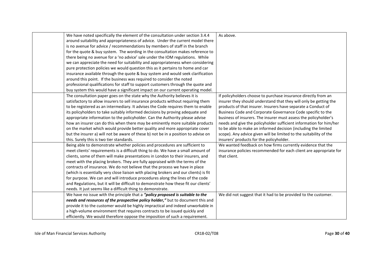| We have noted specifically the element of the consultation under section 3.4.4        | As above.                                                          |
|---------------------------------------------------------------------------------------|--------------------------------------------------------------------|
| around suitability and appropriateness of advice. Under the current model there       |                                                                    |
| is no avenue for advice / recommendations by members of staff in the branch           |                                                                    |
| for the quote & buy system. The wording in the consultation makes reference to        |                                                                    |
| there being no avenue for a 'no advice' sale under the IOM regulations. While         |                                                                    |
| we can appreciate the need for suitability and appropriateness when considering       |                                                                    |
| pure protection policies we would question this as it pertains to home and car        |                                                                    |
| insurance available through the quote & buy system and would seek clarification       |                                                                    |
| around this point. If the business was required to consider the noted                 |                                                                    |
| professional qualifications for staff to support customers through the quote and      |                                                                    |
| buy system this would have a significant impact on our current operating model.       |                                                                    |
| The consultation paper goes on the state why the Authority believes it is             | If policyholders choose to purchase insurance directly from an     |
| satisfactory to allow insurers to sell insurance products without requiring them      | insurer they should understand that they will only be getting the  |
| to be registered as an intermediary. It advises the Code requires them to enable      | products of that insurer. Insurers have separate a Conduct of      |
| its policyholders to take suitably informed decisions by proving adequate and         | Business Code and Corporate Governance Code specific to the        |
| appropriate information to the policyholder. Can the Authority please advise          | business of insurers. The insurer must assess the policyholder's   |
| how an insurer can do this when there may be eminently more suitable products         | needs and give the policyholder sufficient information for him/her |
| on the market which would provide better quality and more appropriate cover           | to be able to make an informed decision (including the limited     |
| but the insurer a) will not be aware of these b) not be in a position to advise on    | scope). Any advice given will be limited to the suitability of the |
| this. Surely this is two tier standards.                                              | insurers' products for the policyholder.                           |
| Being able to demonstrate whether policies and procedures are sufficient to           | We wanted feedback on how firms currently evidence that the        |
| meet clients' requirements is a difficult thing to do. We have a small amount of      | insurance policies recommended for each client are appropriate for |
| clients, some of them will make presentations in London to their insurers, and        | that client.                                                       |
| meet with the placing brokers. They are fully appraised with the terms of the         |                                                                    |
| contracts of insurance. We do not believe that the process we have in place           |                                                                    |
| (which is essentially very close liaison with placing brokers and our clients) is fit |                                                                    |
| for purpose. We can and will introduce procedures along the lines of the code         |                                                                    |
| and Regulations, but it will be difficult to demonstrate how these fit our clients'   |                                                                    |
| needs. It just seems like a difficult thing to demonstrate.                           |                                                                    |
| We have no issue with the principle that a "policy proposed is suitable to the        | We did not suggest that it had to be provided to the customer.     |
| needs and resources of the prospective policy holder," but to document this and       |                                                                    |
| provide it to the customer would be highly impractical and indeed unworkable in       |                                                                    |
| a high-volume environment that requires contracts to be issued quickly and            |                                                                    |
| efficiently. We would therefore oppose the imposition of such a requirement.          |                                                                    |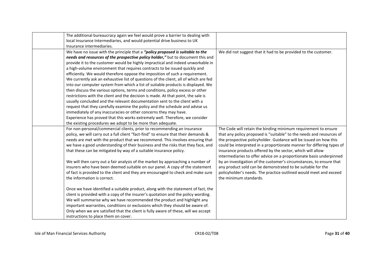| The additional bureaucracy again we feel would prove a barrier to dealing with<br>local Insurance Intermediaries, and would potential drive business to UK                                                                                                                                                                                                                                                                                                                                                                                                                                                                                                                                                                                                                                                                                                                                                                                                                                                                                                                               |                                                                                                                                                                                                                                                                                                                                                                                                                                                                                                                                                                                                                                                                |
|------------------------------------------------------------------------------------------------------------------------------------------------------------------------------------------------------------------------------------------------------------------------------------------------------------------------------------------------------------------------------------------------------------------------------------------------------------------------------------------------------------------------------------------------------------------------------------------------------------------------------------------------------------------------------------------------------------------------------------------------------------------------------------------------------------------------------------------------------------------------------------------------------------------------------------------------------------------------------------------------------------------------------------------------------------------------------------------|----------------------------------------------------------------------------------------------------------------------------------------------------------------------------------------------------------------------------------------------------------------------------------------------------------------------------------------------------------------------------------------------------------------------------------------------------------------------------------------------------------------------------------------------------------------------------------------------------------------------------------------------------------------|
| Insurance intermediaries.                                                                                                                                                                                                                                                                                                                                                                                                                                                                                                                                                                                                                                                                                                                                                                                                                                                                                                                                                                                                                                                                |                                                                                                                                                                                                                                                                                                                                                                                                                                                                                                                                                                                                                                                                |
| We have no issue with the principle that a "policy proposed is suitable to the<br>needs and resources of the prospective policy holder," but to document this and<br>provide it to the customer would be highly impractical and indeed unworkable in<br>a high-volume environment that requires contracts to be issued quickly and<br>efficiently. We would therefore oppose the imposition of such a requirement.<br>We currently ask an exhaustive list of questions of the client, all of which are fed<br>into our computer system from which a list of suitable products is displayed. We<br>then discuss the various options, terms and conditions, policy excess or other<br>restrictions with the client and the decision is made. At that point, the sale is<br>usually concluded and the relevant documentation sent to the client with a<br>request that they carefully examine the policy and the schedule and advise us<br>immediately of any inaccuracies or other concerns they may have.<br>Experience has proved that this works extremely well. Therefore, we consider | We did not suggest that it had to be provided to the customer.                                                                                                                                                                                                                                                                                                                                                                                                                                                                                                                                                                                                 |
| the existing procedures we adopt to be more than adequate.                                                                                                                                                                                                                                                                                                                                                                                                                                                                                                                                                                                                                                                                                                                                                                                                                                                                                                                                                                                                                               |                                                                                                                                                                                                                                                                                                                                                                                                                                                                                                                                                                                                                                                                |
| For non-personal/commercial clients, prior to recommending an insurance<br>policy, we will carry out a full client "fact-find" to ensure that their demands &<br>needs are met with the product that we recommend. This involves ensuring that<br>we have a good understanding of their business and the risks that they face, and<br>that these can be mitigated by way of a suitable insurance policy.<br>We will then carry out a fair analysis of the market by approaching a number of<br>insurers who have been deemed suitable on our panel. A copy of the statement<br>of fact is provided to the client and they are encouraged to check and make sure<br>the information is correct.                                                                                                                                                                                                                                                                                                                                                                                           | The Code will retain the binding minimum requirement to ensure<br>that any policy proposed is "suitable" to the needs and resources of<br>the prospective policyholder. Guidance will be issued on how this<br>could be interpreted in a proportionate manner for differing types of<br>insurance products offered by the sector, which will allow<br>intermediaries to offer advice on a proportionate basis underpinned<br>by an investigation of the customer's circumstances, to ensure that<br>any product sold can be demonstrated to be suitable for the<br>policyholder's needs. The practice outlined would meet and exceed<br>the minimum standards. |
| Once we have identified a suitable product, along with the statement of fact, the<br>client is provided with a copy of the insurer's quotation and the policy wording.<br>We will summarise why we have recommended the product and highlight any<br>important warranties, conditions or exclusions which they should be aware of.<br>Only when we are satisfied that the client is fully aware of these, will we accept<br>instructions to place them on cover.                                                                                                                                                                                                                                                                                                                                                                                                                                                                                                                                                                                                                         |                                                                                                                                                                                                                                                                                                                                                                                                                                                                                                                                                                                                                                                                |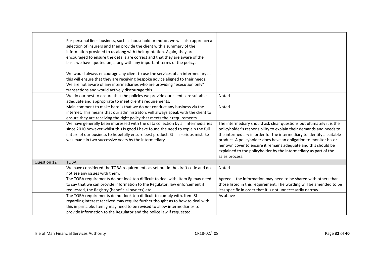|             | For personal lines business, such as household or motor, we will also approach a<br>selection of insurers and then provide the client with a summary of the<br>information provided to us along with their quotation. Again, they are<br>encouraged to ensure the details are correct and that they are aware of the<br>basis we have quoted on, along with any important terms of the policy.<br>We would always encourage any client to use the services of an intermediary as<br>this will ensure that they are receiving bespoke advice aligned to their needs.<br>We are not aware of any intermediaries who are providing "execution only"<br>transactions and would actively discourage this. |                                                                                                                                                                                                                                                                                                                                                                                                                                                   |
|-------------|------------------------------------------------------------------------------------------------------------------------------------------------------------------------------------------------------------------------------------------------------------------------------------------------------------------------------------------------------------------------------------------------------------------------------------------------------------------------------------------------------------------------------------------------------------------------------------------------------------------------------------------------------------------------------------------------------|---------------------------------------------------------------------------------------------------------------------------------------------------------------------------------------------------------------------------------------------------------------------------------------------------------------------------------------------------------------------------------------------------------------------------------------------------|
|             | We do our best to ensure that the policies we provide our clients are suitable,<br>adequate and appropriate to meet client's requirements.                                                                                                                                                                                                                                                                                                                                                                                                                                                                                                                                                           | Noted                                                                                                                                                                                                                                                                                                                                                                                                                                             |
|             | Main comment to make here is that we do not conduct any business via the<br>internet. This means that our administrators will always speak with the client to<br>ensure they are receiving the right policy that meets their requirements.                                                                                                                                                                                                                                                                                                                                                                                                                                                           | Noted                                                                                                                                                                                                                                                                                                                                                                                                                                             |
|             | We have generally been impressed with the data collection by all intermediaries<br>since 2010 however whilst this is good I have found the need to explain the full<br>nature of our business to hopefully ensure best product. Still a serious mistake<br>was made in two successive years by the intermediary.                                                                                                                                                                                                                                                                                                                                                                                     | The intermediary should ask clear questions but ultimately it is the<br>policyholder's responsibility to explain their demands and needs to<br>the intermediary in order for the intermediary to identify a suitable<br>product. A policyholder does have an obligation to monitor his or<br>her own cover to ensure it remains adequate and this should be<br>explained to the policyholder by the intermediary as part of the<br>sales process. |
| Question 12 | <b>TOBA</b>                                                                                                                                                                                                                                                                                                                                                                                                                                                                                                                                                                                                                                                                                          |                                                                                                                                                                                                                                                                                                                                                                                                                                                   |
|             | We have considered the TOBA requirements as set out in the draft code and do<br>not see any issues with them.                                                                                                                                                                                                                                                                                                                                                                                                                                                                                                                                                                                        | Noted                                                                                                                                                                                                                                                                                                                                                                                                                                             |
|             | The TOBA requirements do not look too difficult to deal with. Item 8g may need<br>to say that we can provide information to the Regulator, law enforcement if<br>requested, the Registry (beneficial owners) etc.                                                                                                                                                                                                                                                                                                                                                                                                                                                                                    | Agreed - the information may need to be shared with others than<br>those listed in this requirement. The wording will be amended to be<br>less specific in order that it is not unnecessarily narrow.                                                                                                                                                                                                                                             |
|             | The TOBA requirements do not look too difficult to comply with. Item 8f<br>regarding interest received may require further thought as to how to deal with<br>this in principle. Item g may need to be revised to allow intermediaries to<br>provide information to the Regulator and the police law if requested.                                                                                                                                                                                                                                                                                                                                                                                    | As above                                                                                                                                                                                                                                                                                                                                                                                                                                          |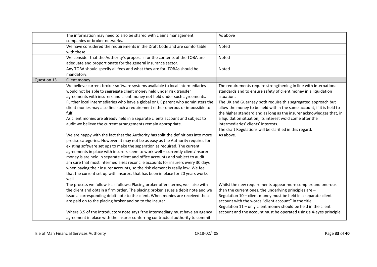|             | The information may need to also be shared with claims management                 | As above                                                             |
|-------------|-----------------------------------------------------------------------------------|----------------------------------------------------------------------|
|             | companies or broker networks.                                                     |                                                                      |
|             | We have considered the requirements in the Draft Code and are comfortable         | Noted                                                                |
|             | with these.                                                                       |                                                                      |
|             | We consider that the Authority's proposals for the contents of the TOBA are       | Noted                                                                |
|             | adequate and proportionate for the general insurance sector.                      |                                                                      |
|             | Any TOBA should specify all fees and what they are for. TOBAs should be           | Noted                                                                |
|             | mandatory.                                                                        |                                                                      |
| Question 13 | Client money                                                                      |                                                                      |
|             | We believe current broker software systems available to local intermediaries      | The requirements require strengthening in line with international    |
|             | would not be able to segregate client money held under risk transfer              | standards and to ensure safety of client money in a liquidation      |
|             | agreements with insurers and client money not held under such agreements.         | situation.                                                           |
|             | Further local intermediaries who have a global or UK parent who administers the   | The UK and Guernsey both require this segregated approach but        |
|             | client monies may also find such a requirement either onerous or impossible to    | allow the money to be held within the same account, if it is held to |
|             | fulfil.                                                                           | the higher standard and as long as the insurer acknowledges that, in |
|             | As client monies are already held in a separate clients account and subject to    | a liquidation situation, its interest wold come after the            |
|             | audit we believe the current arrangements remain appropriate.                     | intermediaries' clients' interests.                                  |
|             |                                                                                   | The draft Regulations will be clarified in this regard.              |
|             | We are happy with the fact that the Authority has split the definitions into more | As above.                                                            |
|             | precise categories. However, it may not be as easy as the Authority requires for  |                                                                      |
|             | existing software set ups to make the separation as required. The current         |                                                                      |
|             | agreements in place with insurers seem to work well - currently client/insurer    |                                                                      |
|             | money is are held in separate client and office accounts and subject to audit. I  |                                                                      |
|             | am sure that most intermediaries reconcile accounts for insurers every 30 days    |                                                                      |
|             | when paying their insurer accounts, so the risk element is really low. We feel    |                                                                      |
|             | that the current set up with insurers that has been in place for 20 years works   |                                                                      |
|             | well.                                                                             |                                                                      |
|             | The process we follow is as follows: Placing broker offers terms, we liaise with  | Whilst the new requirements appear more complex and onerous          |
|             | the client and obtain a firm order. The placing broker issues a debit note and we | than the current ones, the underlying principles are -               |
|             | issue a corresponding debit note to the client. When monies are received these    | Regulation 10 - client money must be held in a separate client       |
|             | are paid on to the placing broker and on to the insurer.                          | account with the words "client account" in the title                 |
|             |                                                                                   | Regulation 11 - only client money should be held in the client       |
|             | Where 3.5 of the introductory note says "the intermediary must have an agency     | account and the account must be operated using a 4-eyes principle.   |
|             | agreement in place with the insurer conferring contractual authority to commit    |                                                                      |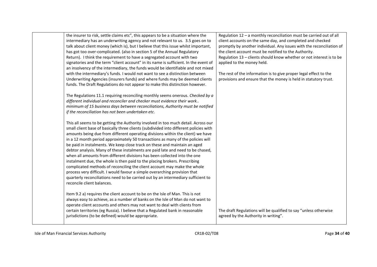| the insurer to risk, settle claims etc", this appears to be a situation where the<br>intermediary has an underwriting agency and not relevant to us. 3.5 goes on to<br>talk about client money (which is), but I believe that this issue whilst important,<br>has got too over-complicated. (also in section 5 of the Annual Regulatory<br>Return). I think the requirement to have a segregated account with two<br>signatories and the term "client account" in its name is sufficient. In the event of<br>an insolvency of the intermediary, the funds would be identifiable and not mixed<br>with the intermediary's funds. I would not want to see a distinction between<br>Underwriting Agencies (insurers funds) and where funds may be deemed clients<br>funds. The Draft Regulations do not appear to make this distinction however.                                                                                                             | Regulation 12 - a monthly reconciliation must be carried out of all<br>client accounts on the same day, and completed and checked<br>promptly by another individual. Any issues with the reconciliation of<br>the client account must be notified to the Authority.<br>Regulation 13 - clients should know whether or not interest is to be<br>applied to the money held.<br>The rest of the information is to give proper legal effect to the<br>provisions and ensure that the money is held in statutory trust. |
|-----------------------------------------------------------------------------------------------------------------------------------------------------------------------------------------------------------------------------------------------------------------------------------------------------------------------------------------------------------------------------------------------------------------------------------------------------------------------------------------------------------------------------------------------------------------------------------------------------------------------------------------------------------------------------------------------------------------------------------------------------------------------------------------------------------------------------------------------------------------------------------------------------------------------------------------------------------|--------------------------------------------------------------------------------------------------------------------------------------------------------------------------------------------------------------------------------------------------------------------------------------------------------------------------------------------------------------------------------------------------------------------------------------------------------------------------------------------------------------------|
| The Regulations 11.1 requiring reconciling monthly seems onerous. Checked by a<br>different individual and reconciler and checker must evidence their work<br>minimum of 15 business days between reconciliations, Authority must be notified<br>if the reconciliation has not been undertaken etc.                                                                                                                                                                                                                                                                                                                                                                                                                                                                                                                                                                                                                                                       |                                                                                                                                                                                                                                                                                                                                                                                                                                                                                                                    |
| This all seems to be getting the Authority involved in too much detail. Across our<br>small client base of basically three clients (subdivided into different policies with<br>amounts being due from different operating divisions within the client) we have<br>in a 12 month period approximately 50 transactions as many of the policies will<br>be paid in instalments. We keep close track on these and maintain an aged<br>debtor analysis. Many of these instalments are paid late and need to be chased,<br>when all amounts from different divisions has been collected into the one<br>instalment due, the whole is then paid to the placing brokers. Prescribing<br>complicated methods of reconciling the client account may make the whole<br>process very difficult. I would favour a simple overarching provision that<br>quarterly reconciliations need to be carried out by an intermediary sufficient to<br>reconcile client balances. |                                                                                                                                                                                                                                                                                                                                                                                                                                                                                                                    |
| Item 9.2 a) requires the client account to be on the Isle of Man. This is not<br>always easy to achieve, as a number of banks on the Isle of Man do not want to<br>operate client accounts and others may not want to deal with clients from<br>certain territories (eg Russia). I believe that a Regulated bank in reasonable<br>jurisdictions (to be defined) would be appropriate.                                                                                                                                                                                                                                                                                                                                                                                                                                                                                                                                                                     | The draft Regulations will be qualified to say "unless otherwise<br>agreed by the Authority in writing".                                                                                                                                                                                                                                                                                                                                                                                                           |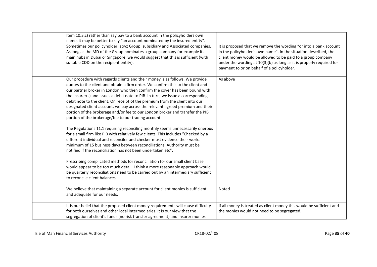| Item 10.3.c) rather than say pay to a bank account in the policyholders own<br>name, it may be better to say "an account nominated by the insured entity".<br>Sometimes our policyholder is xyz Group, subsidiary and Associated companies.<br>As long as the MD of the Group nominates a group company for example its<br>main hubs in Dubai or Singapore, we would suggest that this is sufficient (with<br>suitable CDD on the recipient entity).                                                                                                                                                                                                                                                                                                                                                                                                                                                                                                                                                                                                                                                                                                                                                                                                                                                                              | It is proposed that we remove the wording "or into a bank account<br>in the policyholder's own name". In the situation described, the<br>client money would be allowed to be paid to a group company<br>under the wording at 10(3)(b) as long as it is properly required for<br>payment to or on behalf of a policyholder. |
|-----------------------------------------------------------------------------------------------------------------------------------------------------------------------------------------------------------------------------------------------------------------------------------------------------------------------------------------------------------------------------------------------------------------------------------------------------------------------------------------------------------------------------------------------------------------------------------------------------------------------------------------------------------------------------------------------------------------------------------------------------------------------------------------------------------------------------------------------------------------------------------------------------------------------------------------------------------------------------------------------------------------------------------------------------------------------------------------------------------------------------------------------------------------------------------------------------------------------------------------------------------------------------------------------------------------------------------|----------------------------------------------------------------------------------------------------------------------------------------------------------------------------------------------------------------------------------------------------------------------------------------------------------------------------|
| Our procedure with regards clients and their money is as follows. We provide<br>quotes to the client and obtain a firm order. We confirm this to the client and<br>our partner broker in London who then confirm the cover has been bound with<br>the insurer(s) and issues a debit note to PIB. In turn, we issue a corresponding<br>debit note to the client. On receipt of the premium from the client into our<br>designated client account, we pay across the relevant agreed premium and their<br>portion of the brokerage and/or fee to our London broker and transfer the PIB<br>portion of the brokerage/fee to our trading account.<br>The Regulations 11.1 requiring reconciling monthly seems unnecessarily onerous<br>for a small firm like PIB with relatively few clients. This includes "Checked by a<br>different individual and reconciler and checker must evidence their work<br>minimum of 15 business days between reconciliations, Authority must be<br>notified if the reconciliation has not been undertaken etc".<br>Prescribing complicated methods for reconciliation for our small client base<br>would appear to be too much detail. I think a more reasonable approach would<br>be quarterly reconciliations need to be carried out by an intermediary sufficient<br>to reconcile client balances. | As above                                                                                                                                                                                                                                                                                                                   |
| We believe that maintaining a separate account for client monies is sufficient<br>and adequate for our needs.                                                                                                                                                                                                                                                                                                                                                                                                                                                                                                                                                                                                                                                                                                                                                                                                                                                                                                                                                                                                                                                                                                                                                                                                                     | Noted                                                                                                                                                                                                                                                                                                                      |
| It is our belief that the proposed client money requirements will cause difficulty<br>for both ourselves and other local intermediaries. It is our view that the<br>segregation of client's funds (no risk transfer agreement) and insurer monies                                                                                                                                                                                                                                                                                                                                                                                                                                                                                                                                                                                                                                                                                                                                                                                                                                                                                                                                                                                                                                                                                 | If all money is treated as client money this would be sufficient and<br>the monies would not need to be segregated.                                                                                                                                                                                                        |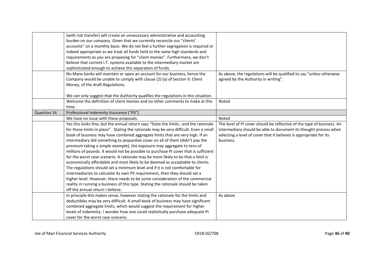|             | (with risk transfer) will create an unnecessary administrative and accounting<br>burden on our company. Given that we currently reconcile our "clients'<br>accounts" on a monthly basis. We do not feel a further segregation is required or<br>indeed appropriate as we treat all funds held to the same high standards and<br>requirements as you are proposing for "client monies". Furthermore, we don't                                                                                                                                                                                                                                                                                                                                                                                                                                                                                                                                                                                                                                                    |                                                                                                                                                                                                                               |
|-------------|-----------------------------------------------------------------------------------------------------------------------------------------------------------------------------------------------------------------------------------------------------------------------------------------------------------------------------------------------------------------------------------------------------------------------------------------------------------------------------------------------------------------------------------------------------------------------------------------------------------------------------------------------------------------------------------------------------------------------------------------------------------------------------------------------------------------------------------------------------------------------------------------------------------------------------------------------------------------------------------------------------------------------------------------------------------------|-------------------------------------------------------------------------------------------------------------------------------------------------------------------------------------------------------------------------------|
|             | believe that current I.T. systems available to the intermediary market are<br>sophisticated enough to achieve this separation of funds.                                                                                                                                                                                                                                                                                                                                                                                                                                                                                                                                                                                                                                                                                                                                                                                                                                                                                                                         |                                                                                                                                                                                                                               |
|             | No Manx banks will maintain or open an account for our business, hence the<br>Company would be unable to comply with clause (2) (a) of Section 9. Client<br>Money, of the draft Regulations.                                                                                                                                                                                                                                                                                                                                                                                                                                                                                                                                                                                                                                                                                                                                                                                                                                                                    | As above, the regulations will be qualified to say "unless otherwise<br>agreed by the Authority in writing".                                                                                                                  |
|             | We can only suggest that the Authority qualifies the regulations in this situation.                                                                                                                                                                                                                                                                                                                                                                                                                                                                                                                                                                                                                                                                                                                                                                                                                                                                                                                                                                             |                                                                                                                                                                                                                               |
|             | Welcome the definition of client monies and no other comments to make at this                                                                                                                                                                                                                                                                                                                                                                                                                                                                                                                                                                                                                                                                                                                                                                                                                                                                                                                                                                                   | Noted                                                                                                                                                                                                                         |
| Question 14 | time.<br>Professional Indemnity Insurance ("PII")                                                                                                                                                                                                                                                                                                                                                                                                                                                                                                                                                                                                                                                                                                                                                                                                                                                                                                                                                                                                               |                                                                                                                                                                                                                               |
|             | We have no issue with these proposals.                                                                                                                                                                                                                                                                                                                                                                                                                                                                                                                                                                                                                                                                                                                                                                                                                                                                                                                                                                                                                          | Noted                                                                                                                                                                                                                         |
|             | Yes this looks fine, but the annual return says "State the limitsand the rationale<br>for those limits in place". Stating the rationale may be very difficult. Even a small<br>book of business may have combined aggregate limits that are very high. If an<br>intermediary did something to jeopardise cover on all of them (didn't pay the<br>premium taking a simple example), the exposure may aggregate to tens of<br>millions of pounds. It would not be possible to purchase PI cover that is sufficient<br>for the worst case scenario. A rationale may be more likely to be that a limit is<br>economically affordable and most likely to be deemed as acceptable to clients.<br>The regulations should set a minimum level and if it is not comfortable for<br>intermediaries to calculate its own PII requirement, then they should set a<br>higher level. However, there needs to be some consideration of the commercial<br>reality in running a business of this type. Stating the rationale should be taken<br>off the annual return I believe. | The level of PI cover should be reflective of the type of business. An<br>intermediary should be able to document its thought process when<br>selecting a level of cover that it believes is appropriate for its<br>business. |
|             | In principle this makes sense, however stating the rationale for the limits and<br>deductibles may be very difficult. A small book of business may have significant<br>combined aggregate limits, which would suggest the requirement for higher<br>levels of indemnity. I wonder how one could realistically purchase adequate PI<br>cover for the worst case scenario.                                                                                                                                                                                                                                                                                                                                                                                                                                                                                                                                                                                                                                                                                        | As above                                                                                                                                                                                                                      |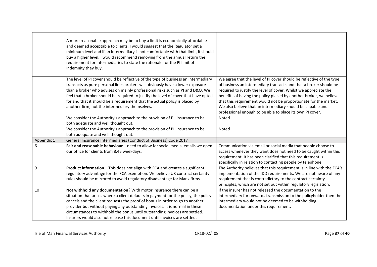|            | A more reasonable approach may be to buy a limit is economically affordable<br>and deemed acceptable to clients. I would suggest that the Regulator set a<br>minimum level and if an intermediary is not comfortable with that limit, it should<br>buy a higher level. I would recommend removing from the annual return the<br>requirement for intermediaries to state the rationale for the PI limit of<br>indemnity they buy.                                                      |                                                                                                                                                                                                                                                                                                                                                                                                                                                                                    |
|------------|---------------------------------------------------------------------------------------------------------------------------------------------------------------------------------------------------------------------------------------------------------------------------------------------------------------------------------------------------------------------------------------------------------------------------------------------------------------------------------------|------------------------------------------------------------------------------------------------------------------------------------------------------------------------------------------------------------------------------------------------------------------------------------------------------------------------------------------------------------------------------------------------------------------------------------------------------------------------------------|
|            | The level of PI cover should be reflective of the type of business an intermediary<br>transacts as pure personal lines brokers will obviously have a lower exposure<br>than a broker who advises on mainly professional risks such as PI and D&O. We<br>feel that a broker should be required to justify the level of cover that have opted<br>for and that it should be a requirement that the actual policy is placed by<br>another firm, not the intermediary themselves.          | We agree that the level of PI cover should be reflective of the type<br>of business an intermediary transacts and that a broker should be<br>required to justify the level of cover. Whilst we appreciate the<br>benefits of having the policy placed by another broker, we believe<br>that this requirement would not be proportionate for the market.<br>We also believe that an intermediary should be capable and<br>professional enough to be able to place its own PI cover. |
|            | We consider the Authority's approach to the provision of PII insurance to be<br>both adequate and well thought out.                                                                                                                                                                                                                                                                                                                                                                   | Noted                                                                                                                                                                                                                                                                                                                                                                                                                                                                              |
|            | We consider the Authority's approach to the provision of PII insurance to be<br>both adequate and well thought out.                                                                                                                                                                                                                                                                                                                                                                   | Noted                                                                                                                                                                                                                                                                                                                                                                                                                                                                              |
| Appendix 1 | General Insurance Intermediaries (Conduct of Business) Code 2017                                                                                                                                                                                                                                                                                                                                                                                                                      |                                                                                                                                                                                                                                                                                                                                                                                                                                                                                    |
| 6          | Fair and reasonable behaviour - need to allow for social media, emails we open<br>our office for clients from 8.45 weekdays.                                                                                                                                                                                                                                                                                                                                                          | Communication via email or social media that people choose to<br>access whenever they want does not need to be caught within this<br>requirement. It has been clarified that this requirement is<br>specifically in relation to contacting people by telephone.                                                                                                                                                                                                                    |
| 9          | Product information - This does not align with FCA and creates a significant<br>regulatory advantage for the FCA exemption. We believe UK contract certainty<br>rules should be mirrored to avoid regulatory disadvantage for Manx firms.                                                                                                                                                                                                                                             | The Authority believes that this requirement is in line with the FCA's<br>implementation of the IDD requirements. We are not aware of any<br>requirement that is contradictory to the contract certainty<br>principles, which are not set out within regulatory legislation.                                                                                                                                                                                                       |
| 10         | Not withhold any documentation? With motor insurance there can be a<br>situation that arises where a client defaults in payment for the policy, the policy<br>cancels and the client requests the proof of bonus in order to go to another<br>provider but without paying any outstanding invoices. It is normal in these<br>circumstances to withhold the bonus until outstanding invoices are settled.<br>Insurers would also not release this document until invoices are settled. | If the insurer has not released the documentation to the<br>intermediary for onwards transmission to the policyholder then the<br>intermediary would not be deemed to be withholding<br>documentation under this requirement.                                                                                                                                                                                                                                                      |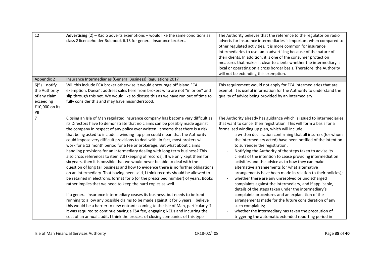| 12                                                                                     | Advertising $(2)$ – Radio adverts exemptions – would like the same conditions as<br>class 2 licenceholder Rulebook 6.13 for general insurance brokers.                                                                                                                                                                                                                                                                                                                                                                                                                                                                                                                                                                                                                                                                                                                                                                                                                                                                                                                                                                                                                                                                                                                                                                                                                                                                                                                                                               | The Authority believes that the reference to the regulator on radio<br>adverts for insurance intermediaries is important when compared to<br>other regulated activities. It is more common for insurance<br>intermediaries to use radio advertising because of the nature of<br>their clients. In addition, it is one of the consumer protection<br>measures that makes it clear to clients whether the intermediary is<br>local or operating on a cross border basis. Therefore, the Authority<br>will not be extending this exemption.                                                                                                                                                                                                                                                                                                                                                                                                                                                                                                                                                                                                       |
|----------------------------------------------------------------------------------------|----------------------------------------------------------------------------------------------------------------------------------------------------------------------------------------------------------------------------------------------------------------------------------------------------------------------------------------------------------------------------------------------------------------------------------------------------------------------------------------------------------------------------------------------------------------------------------------------------------------------------------------------------------------------------------------------------------------------------------------------------------------------------------------------------------------------------------------------------------------------------------------------------------------------------------------------------------------------------------------------------------------------------------------------------------------------------------------------------------------------------------------------------------------------------------------------------------------------------------------------------------------------------------------------------------------------------------------------------------------------------------------------------------------------------------------------------------------------------------------------------------------------|------------------------------------------------------------------------------------------------------------------------------------------------------------------------------------------------------------------------------------------------------------------------------------------------------------------------------------------------------------------------------------------------------------------------------------------------------------------------------------------------------------------------------------------------------------------------------------------------------------------------------------------------------------------------------------------------------------------------------------------------------------------------------------------------------------------------------------------------------------------------------------------------------------------------------------------------------------------------------------------------------------------------------------------------------------------------------------------------------------------------------------------------|
| Appendix 2                                                                             | Insurance Intermediaries (General Business) Regulations 2017                                                                                                                                                                                                                                                                                                                                                                                                                                                                                                                                                                                                                                                                                                                                                                                                                                                                                                                                                                                                                                                                                                                                                                                                                                                                                                                                                                                                                                                         |                                                                                                                                                                                                                                                                                                                                                                                                                                                                                                                                                                                                                                                                                                                                                                                                                                                                                                                                                                                                                                                                                                                                                |
| $6(5)$ – notify<br>the Authority<br>of any claim<br>exceeding<br>£10,000 on its<br>PII | Will this include FCA broker otherwise it would encourage off Island FCA<br>exemption. Doesn't address sales here from brokers who are not "in or on" and<br>slip through this net. We would like to discuss this as we have run out of time to<br>fully consider this and may have misunderstood.                                                                                                                                                                                                                                                                                                                                                                                                                                                                                                                                                                                                                                                                                                                                                                                                                                                                                                                                                                                                                                                                                                                                                                                                                   | This requirement would not apply for FCA intermediaries that are<br>exempt. It is useful information for the Authority to understand the<br>quality of advice being provided by an intermediary.                                                                                                                                                                                                                                                                                                                                                                                                                                                                                                                                                                                                                                                                                                                                                                                                                                                                                                                                               |
| $\overline{7}$                                                                         | Closing an Isle of Man regulated insurance company has become very difficult as<br>its Directors have to demonstrate that no claims can be possibly made against<br>the company in respect of any policy ever written. It seems that there is a risk<br>that being asked to include a winding- up plan could mean that the Authority<br>could impose very difficult provisions to deal with. In fact, most brokers will<br>work for a 12 month period for a fee or brokerage. But what about claims<br>handling provisions for an intermediary dealing with long term business? This<br>also cross references to item 7.8 (keeping of records). If we only kept them for<br>six years, then it is possible that we would never be able to deal with the<br>question of long tail business and how to evidence there is no further obligations<br>on an intermediary. That having been said, I think records should be allowed to<br>be retained in electronic format for 6 (or the prescribed number) of years. Books<br>rather implies that we need to keep the hard copies as well.<br>If a general insurance intermediary ceases its business, but needs to be kept<br>running to allow any possible claims to be made against it for 6 years, I believe<br>this would be a barrier to new entrants coming to the Isle of Man, particularly if<br>it was required to continue paying a FSA fee, engaging NEDs and incurring the<br>cost of an annual audit. I think the process of closing companies of this type | The Authority already has guidance which is issued to intermediaries<br>that want to cancel their registration. This will form a basis for a<br>formalised winding up plan, which will include:<br>a written declaration confirming that all insurers (for whom<br>the intermediary acted) have been notified of the intention<br>to surrender the registration;<br>Notifying the Authority of the steps taken to advise its<br>$\overline{\phantom{a}}$<br>clients of the intention to cease providing intermediation<br>activities and the advice as to how they can make<br>alternative arrangements (or what alternative<br>arrangements have been made in relation to their policies);<br>whether there are any unresolved or undischarged<br>$\overline{\phantom{a}}$<br>complaints against the intermediary, and if applicable,<br>details of the steps taken under the intermediary's<br>complaints procedures and an explanation of the<br>arrangements made for the future consideration of any<br>such complaints;<br>whether the intermediary has taken the precaution of<br>triggering the automatic extended reporting period in |

Isle of Man Financial Services Authority CR18-02/T08 Page **38** of **40**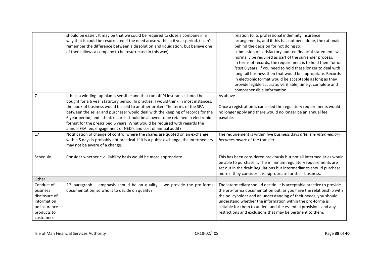|                                                                                                    | should be easier. It may be that we could be required to close a company in a<br>way that it could be resurrected if the need arose within a 6 year period. (I can't<br>remember the difference between a dissolution and liquidation, but believe one<br>of them allows a company to be resurrected in this way).                                                                                                                                                                                                                                                         | relation to its professional indemnity insurance<br>arrangements, and if this has not been done, the rationale<br>behind the decision for not doing so;<br>submission of satisfactory audited financial statements will<br>normally be required as part of the surrender process;<br>in terms of records, the requirement is to hold them for at<br>least 6 years. If you need to hold these longer to deal with<br>long tail business then that would be appropriate. Records<br>in electronic format would be acceptable as long as they<br>provide legible accurate, verifiable, timely, complete and<br>comprehensible information. |
|----------------------------------------------------------------------------------------------------|----------------------------------------------------------------------------------------------------------------------------------------------------------------------------------------------------------------------------------------------------------------------------------------------------------------------------------------------------------------------------------------------------------------------------------------------------------------------------------------------------------------------------------------------------------------------------|-----------------------------------------------------------------------------------------------------------------------------------------------------------------------------------------------------------------------------------------------------------------------------------------------------------------------------------------------------------------------------------------------------------------------------------------------------------------------------------------------------------------------------------------------------------------------------------------------------------------------------------------|
| $\overline{7}$                                                                                     | I think a winding- up plan is sensible and that run off PI insurance should be<br>bought for a 6 year statutory period. In practise, I would think in most instances,<br>the book of business would be sold to another broker. The terms of the SPA<br>between the seller and purchaser would deal with the keeping of records for the<br>6 year period, and I think records should be allowed to be retained in electronic<br>format for the prescribed 6 years. What would be required with regards the<br>annual FSA fee, engagement of NED's and cost of annual audit? | As above.<br>Once a registration is cancelled the regulatory requirements would<br>no longer apply and there would no longer be an annual fee<br>payable.                                                                                                                                                                                                                                                                                                                                                                                                                                                                               |
| 17                                                                                                 | Notification of change of control where the shares are quoted on an exchange<br>within 5 days is probably not practical. If it is a public exchange, the intermediary<br>may not be aware of a change.                                                                                                                                                                                                                                                                                                                                                                     | The requirement is within five business days after the intermediary<br>becomes aware of the transfer.                                                                                                                                                                                                                                                                                                                                                                                                                                                                                                                                   |
| Schedule                                                                                           | Consider whether civil liability basis would be more appropriate.                                                                                                                                                                                                                                                                                                                                                                                                                                                                                                          | This has been considered previously but not all intermediaries would<br>be able to purchase it. The minimum regulatory requirements are<br>set out in the draft Regulations but intermediaries should purchase<br>more if they consider it is appropriate for their business.                                                                                                                                                                                                                                                                                                                                                           |
| Other                                                                                              |                                                                                                                                                                                                                                                                                                                                                                                                                                                                                                                                                                            |                                                                                                                                                                                                                                                                                                                                                                                                                                                                                                                                                                                                                                         |
| Conduct of<br>business<br>disclosure of<br>information<br>on insurance<br>products to<br>customers | $2^{nd}$ paragraph – emphasis should be on quality – we provide the pro-forma<br>documentation, so who is to decide on quality?                                                                                                                                                                                                                                                                                                                                                                                                                                            | The intermediary should decide. It is acceptable practice to provide<br>the pro-forma documentation but, as you have the relationship with<br>the policyholder and an understanding of their needs, you should<br>understand whether the information within the pro-forma is<br>suitable for them to understand the essential provisions and any<br>restrictions and exclusions that may be pertinent to them.                                                                                                                                                                                                                          |